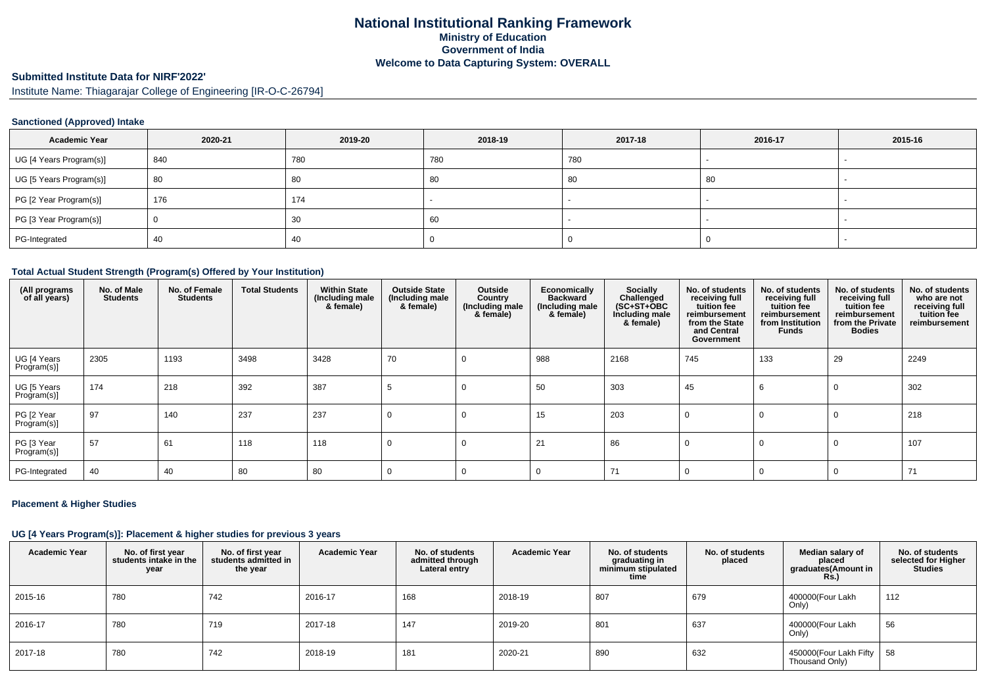# **National Institutional Ranking FrameworkMinistry of Education Government of IndiaWelcome to Data Capturing System: OVERALL**

# **Submitted Institute Data for NIRF'2022'**

Institute Name: Thiagarajar College of Engineering [IR-O-C-26794]

# **Sanctioned (Approved) Intake**

| <b>Academic Year</b>    | 2020-21 | 2019-20 | 2018-19 | 2017-18 | 2016-17 | 2015-16 |
|-------------------------|---------|---------|---------|---------|---------|---------|
| UG [4 Years Program(s)] | 840     | 780     | 780     | 780     |         |         |
| UG [5 Years Program(s)] | 80      | 80      | 80      | 80      | 80      |         |
| PG [2 Year Program(s)]  | 176     | 174     |         |         |         |         |
| PG [3 Year Program(s)]  |         | 30      | 60      |         |         |         |
| PG-Integrated           | 40      | 40      |         |         |         |         |

#### **Total Actual Student Strength (Program(s) Offered by Your Institution)**

| (All programs<br>of all years) | No. of Male<br><b>Students</b> | No. of Female<br><b>Students</b> | <b>Total Students</b> | <b>Within State</b><br>(Including male<br>& female) | <b>Outside State</b><br>(Including male<br>& female) | Outside<br>Country<br>(Including male<br>& female) | <b>Economically</b><br><b>Backward</b><br>(Including male<br>& female) | Socially<br>Challenged<br>$(SC+ST+OBC)$<br>Including male<br>& female) | No. of students<br>receiving full<br>tuition fee<br>reimbursement<br>from the State<br>and Central<br>Government | No. of students<br>receiving full<br>tuition fee<br>reimbursement<br>from Institution<br><b>Funds</b> | No. of students<br>receiving full<br>tuition fee<br>reimbursement<br>from the Private<br><b>Bodies</b> | No. of students<br>who are not<br>receiving full<br>tuition fee<br>reimbursement |
|--------------------------------|--------------------------------|----------------------------------|-----------------------|-----------------------------------------------------|------------------------------------------------------|----------------------------------------------------|------------------------------------------------------------------------|------------------------------------------------------------------------|------------------------------------------------------------------------------------------------------------------|-------------------------------------------------------------------------------------------------------|--------------------------------------------------------------------------------------------------------|----------------------------------------------------------------------------------|
| UG [4 Years<br>Program(s)]     | 2305                           | 1193                             | 3498                  | 3428                                                | 70                                                   | 0                                                  | 988                                                                    | 2168                                                                   | 745                                                                                                              | 133                                                                                                   | 29                                                                                                     | 2249                                                                             |
| UG [5 Years<br>Program(s)]     | 174                            | 218                              | 392                   | 387                                                 |                                                      | $\Omega$                                           | 50                                                                     | 303                                                                    | 45                                                                                                               | 6                                                                                                     | $\Omega$                                                                                               | 302                                                                              |
| PG [2 Year<br>Program(s)]      | 97                             | 140                              | 237                   | 237                                                 | $\Omega$                                             |                                                    | 15                                                                     | 203                                                                    | $\Omega$                                                                                                         | 0                                                                                                     |                                                                                                        | 218                                                                              |
| PG [3 Year<br>Program(s)]      | 57                             | 61                               | 118                   | 118                                                 | $\Omega$                                             | 0                                                  | 21                                                                     | 86                                                                     | $\Omega$                                                                                                         | $\Omega$                                                                                              |                                                                                                        | 107                                                                              |
| PG-Integrated                  | 40                             | 40                               | 80                    | 80                                                  | 0                                                    |                                                    | $\Omega$                                                               | 71                                                                     | $\Omega$                                                                                                         | $\Omega$                                                                                              |                                                                                                        | 71                                                                               |

#### **Placement & Higher Studies**

# **UG [4 Years Program(s)]: Placement & higher studies for previous 3 years**

| <b>Academic Year</b> | No. of first year<br>students intake in the<br>year | No. of first vear<br>students admitted in<br>the year | <b>Academic Year</b> | No. of students<br>admitted through<br>Lateral entry | <b>Academic Year</b> | No. of students<br>graduating in<br>minimum stipulated<br>time | No. of students<br>placed | Median salary of<br>placed<br>graduates(Amount in<br>$R\dot{s}$ .) | No. of students<br>selected for Higher<br><b>Studies</b> |
|----------------------|-----------------------------------------------------|-------------------------------------------------------|----------------------|------------------------------------------------------|----------------------|----------------------------------------------------------------|---------------------------|--------------------------------------------------------------------|----------------------------------------------------------|
| 2015-16              | 780                                                 | 742                                                   | 2016-17              | 168                                                  | 2018-19              | 807                                                            | 679                       | 400000(Four Lakh<br>Only)                                          | 112                                                      |
| 2016-17              | 780                                                 | 719                                                   | 2017-18              | 147                                                  | 2019-20              | 801                                                            | 637                       | 400000(Four Lakh<br>Only)                                          | 56                                                       |
| 2017-18              | 780                                                 | 742                                                   | 2018-19              | 181                                                  | 2020-21              | 890                                                            | 632                       | 450000(Four Lakh Fifty   58<br>Thousand Only)                      |                                                          |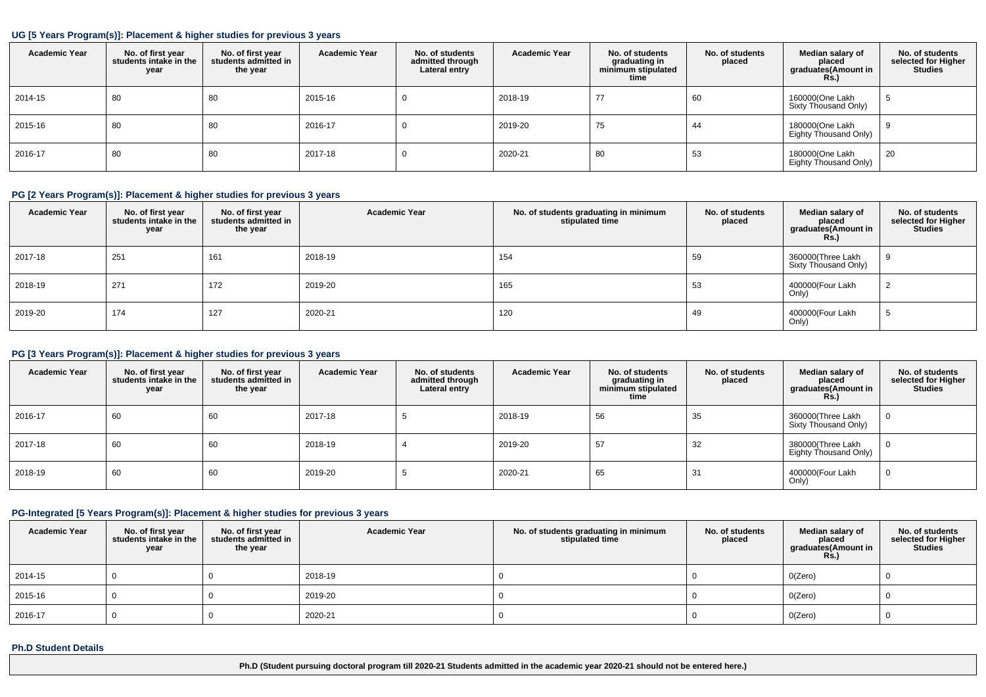#### **UG [5 Years Program(s)]: Placement & higher studies for previous 3 years**

| <b>Academic Year</b> | No. of first year<br>students intake in the<br>year | No. of first year<br>students admitted in<br>the year | <b>Academic Year</b> | No. of students<br>admitted through<br>Lateral entry | <b>Academic Year</b> | No. of students<br>graduating in<br>minimum stipulated<br>time | No. of students<br>placed | Median salary of<br>placed<br>graduates(Amount in<br>Rs.) | No. of students<br>selected for Higher<br><b>Studies</b> |
|----------------------|-----------------------------------------------------|-------------------------------------------------------|----------------------|------------------------------------------------------|----------------------|----------------------------------------------------------------|---------------------------|-----------------------------------------------------------|----------------------------------------------------------|
| 2014-15              | 80                                                  | 80                                                    | 2015-16              | υ                                                    | 2018-19              | 77                                                             | 60                        | 160000(One Lakh<br>Sixty Thousand Only)                   |                                                          |
| 2015-16              | 80                                                  | 80                                                    | 2016-17              | υ                                                    | 2019-20              | 75                                                             | 44                        | 180000(One Lakh<br>Eighty Thousand Only)                  |                                                          |
| 2016-17              | 80                                                  | 80                                                    | 2017-18              | υ                                                    | 2020-21              | 80                                                             | 53                        | 180000(One Lakh<br>Eighty Thousand Only)                  | 20                                                       |

# **PG [2 Years Program(s)]: Placement & higher studies for previous 3 years**

| <b>Academic Year</b> | No. of first year<br>students intake in the<br>year | No. of first year<br>students admitted in<br>the year | <b>Academic Year</b> | No. of students graduating in minimum<br>stipulated time | No. of students<br>placed | Median salary of<br>placed<br>graduates(Amount in<br><b>Rs.)</b> | No. of students<br>selected for Higher<br><b>Studies</b> |
|----------------------|-----------------------------------------------------|-------------------------------------------------------|----------------------|----------------------------------------------------------|---------------------------|------------------------------------------------------------------|----------------------------------------------------------|
| 2017-18              | 251                                                 | 161                                                   | 2018-19              | 154                                                      | 59                        | 360000(Three Lakh<br>Sixty Thousand Only)                        |                                                          |
| 2018-19              | 271                                                 | 172                                                   | 2019-20              | 165                                                      | 53                        | 400000(Four Lakh<br>Only)                                        | ∼                                                        |
| 2019-20              | 174                                                 | 127                                                   | 2020-21              | 120                                                      | 49                        | 400000(Four Lakh<br>Only)                                        |                                                          |

# **PG [3 Years Program(s)]: Placement & higher studies for previous 3 years**

| <b>Academic Year</b> | No. of first year<br>students intake in the<br>year | No. of first vear<br>students admitted in<br>the year | <b>Academic Year</b> | No. of students<br>admitted through<br>Lateral entry | <b>Academic Year</b> | No. of students<br>graduating in<br>minimum stipulated<br>time | No. of students<br>placed | Median salary of<br>placed<br>graduates(Amount in<br>Rs. | No. of students<br>selected for Higher<br><b>Studies</b> |
|----------------------|-----------------------------------------------------|-------------------------------------------------------|----------------------|------------------------------------------------------|----------------------|----------------------------------------------------------------|---------------------------|----------------------------------------------------------|----------------------------------------------------------|
| 2016-17              | 60                                                  | 60                                                    | 2017-18              |                                                      | 2018-19              | 56                                                             | 35                        | 360000(Three Lakh<br>Sixty Thousand Only)                | $\mathbf{0}$                                             |
| 2017-18              | 60                                                  | 60                                                    | 2018-19              |                                                      | 2019-20              | 57                                                             | 32                        | 380000(Three Lakh<br><b>Eighty Thousand Only)</b>        | $\mathbf 0$                                              |
| 2018-19              | 60                                                  | 60                                                    | 2019-20              |                                                      | 2020-21              | 65                                                             | 31                        | 400000(Four Lakh<br>Only)                                | 0                                                        |

#### **PG-Integrated [5 Years Program(s)]: Placement & higher studies for previous 3 years**

| <b>Academic Year</b> | No. of first year<br>students intake in the<br>year | No. of first year<br>students admitted in<br>the year | <b>Academic Year</b> | No. of students graduating in minimum<br>stipulated time | No. of students<br>placed | Median salary of<br>placed<br>graduates (Amount in<br><b>Rs.)</b> | No. of students<br>selected for Higher<br><b>Studies</b> |
|----------------------|-----------------------------------------------------|-------------------------------------------------------|----------------------|----------------------------------------------------------|---------------------------|-------------------------------------------------------------------|----------------------------------------------------------|
| 2014-15              |                                                     |                                                       | 2018-19              |                                                          |                           | O(Zero)                                                           |                                                          |
| 2015-16              |                                                     |                                                       | 2019-20              |                                                          |                           | O(Zero)                                                           |                                                          |
| 2016-17              |                                                     |                                                       | 2020-21              |                                                          |                           | O(Zero)                                                           |                                                          |

#### **Ph.D Student Details**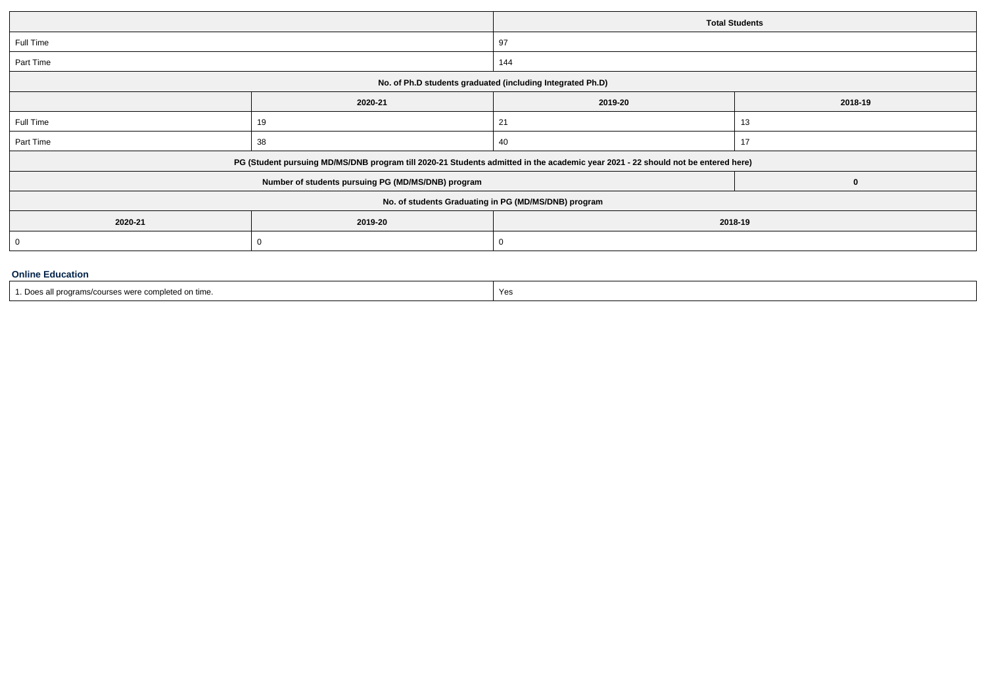|           |                                                                                                                                  | <b>Total Students</b> |              |  |  |  |
|-----------|----------------------------------------------------------------------------------------------------------------------------------|-----------------------|--------------|--|--|--|
| Full Time |                                                                                                                                  | 97                    |              |  |  |  |
| Part Time |                                                                                                                                  | 144                   |              |  |  |  |
|           | No. of Ph.D students graduated (including Integrated Ph.D)                                                                       |                       |              |  |  |  |
|           | 2020-21<br>2019-20                                                                                                               |                       |              |  |  |  |
| Full Time | 19                                                                                                                               | 21                    | 13           |  |  |  |
| Part Time | 38                                                                                                                               | 40                    | 17           |  |  |  |
|           | PG (Student pursuing MD/MS/DNB program till 2020-21 Students admitted in the academic year 2021 - 22 should not be entered here) |                       |              |  |  |  |
|           | Number of students pursuing PG (MD/MS/DNB) program                                                                               |                       | $\mathbf{0}$ |  |  |  |
|           | No. of students Graduating in PG (MD/MS/DNB) program                                                                             |                       |              |  |  |  |
| 2020-21   | 2019-20<br>2018-19                                                                                                               |                       |              |  |  |  |
| - 0       | -0                                                                                                                               | O                     |              |  |  |  |
|           |                                                                                                                                  |                       |              |  |  |  |

# **Online Education**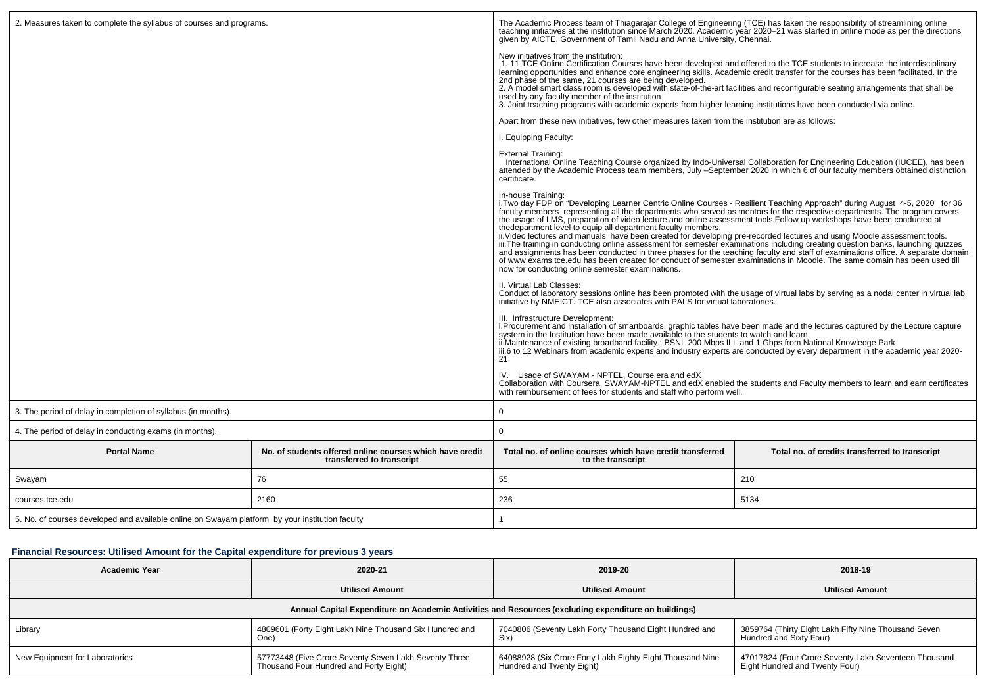| 2. Measures taken to complete the syllabus of courses and programs.                             |                                                                                       | The Academic Process team of Thiagarajar College of Engineering (TCE) has taken the responsibility of streamlining online teaching initiatives at the institution since March 2020. Academic year 2020-21 was started in onlin<br>given by AICTE, Government of Tamil Nadu and Anna University, Chennai.                                                                                                                                                                                                                                                                                                                                                                                                                                                                                                                                                                                                                                                                                                                                                   |                                                |  |  |
|-------------------------------------------------------------------------------------------------|---------------------------------------------------------------------------------------|------------------------------------------------------------------------------------------------------------------------------------------------------------------------------------------------------------------------------------------------------------------------------------------------------------------------------------------------------------------------------------------------------------------------------------------------------------------------------------------------------------------------------------------------------------------------------------------------------------------------------------------------------------------------------------------------------------------------------------------------------------------------------------------------------------------------------------------------------------------------------------------------------------------------------------------------------------------------------------------------------------------------------------------------------------|------------------------------------------------|--|--|
|                                                                                                 |                                                                                       | New initiatives from the institution:<br>1.11 TCE Online Certification Courses have been developed and offered to the TCE students to increase the interdisciplinary<br>learning opportunities and enhance core engineering skills. Academic credit transfer for the courses has been facilitated. In the<br>2nd phase of the same, 21 courses are being developed.<br>2. A model smart class room is developed with state-of-the-art facilities and reconfigurable seating arrangements that shall be<br>used by any faculty member of the institution<br>3. Joint teaching programs with academic experts from higher learning institutions have been conducted via online.                                                                                                                                                                                                                                                                                                                                                                              |                                                |  |  |
|                                                                                                 |                                                                                       | Apart from these new initiatives, few other measures taken from the institution are as follows:                                                                                                                                                                                                                                                                                                                                                                                                                                                                                                                                                                                                                                                                                                                                                                                                                                                                                                                                                            |                                                |  |  |
|                                                                                                 |                                                                                       | I. Equipping Faculty:                                                                                                                                                                                                                                                                                                                                                                                                                                                                                                                                                                                                                                                                                                                                                                                                                                                                                                                                                                                                                                      |                                                |  |  |
|                                                                                                 |                                                                                       | <b>External Training:</b><br>International Online Teaching Course organized by Indo-Universal Collaboration for Engineering Education (IUCEE), has been<br>attended by the Academic Process team members, July -September 2020 in which 6 of our faculty members obtained distinction<br>certificate.                                                                                                                                                                                                                                                                                                                                                                                                                                                                                                                                                                                                                                                                                                                                                      |                                                |  |  |
|                                                                                                 |                                                                                       | In-house Training:<br>i. Two day FDP on "Developing Learner Centric Online Courses - Resilient Teaching Approach" during August 4-5, 2020 for 36<br>faculty members representing all the departments who served as mentors for the respective departments. The program covers<br>the usage of LMS, preparation of video lecture and online assessment tools. Follow up workshops have been conducted at<br>thedepartment level to equip all department faculty members.<br>ii. Video lectures and manuals have been created for developing pre-recorded lectures and using Moodle assessment tools.<br>iii. The training in conducting online assessment for semester examinations including creating question banks, launching quizzes<br>and assignments has been conducted in three phases for the teaching faculty and staff of examinations office. A separate domain<br>of www.exams.tce.edu has been created for conduct of semester examinations in Moodle. The same domain has been used till<br>now for conducting online semester examinations. |                                                |  |  |
|                                                                                                 |                                                                                       | II. Virtual Lab Classes:<br>Conduct of laboratory sessions online has been promoted with the usage of virtual labs by serving as a nodal center in virtual lab initiative by NMEICT. TCE also associates with PALS for virtual laboratories.                                                                                                                                                                                                                                                                                                                                                                                                                                                                                                                                                                                                                                                                                                                                                                                                               |                                                |  |  |
|                                                                                                 |                                                                                       | III. Infrastructure Development:<br>i. Procurement and installation of smartboards, graphic tables have been made and the lectures captured by the Lecture capture<br>system in the Institution have been made available to the students to watch and learn<br>ii.Maintenance of existing broadband facility : BSNL 200 Mbps ILL and 1 Gbps from National Knowledge Park<br>iii.6 to 12 Webinars from academic experts and industry experts are conducted by every department in the academic year 2020-<br>21.                                                                                                                                                                                                                                                                                                                                                                                                                                                                                                                                            |                                                |  |  |
|                                                                                                 |                                                                                       | IV. Usage of SWAYAM - NPTEL, Course era and edX<br>Collaboration with Coursera, SWAYAM-NPTEL and edX enabled the students and Faculty members to learn and earn certificates<br>with reimbursement of fees for students and staff who perform well.                                                                                                                                                                                                                                                                                                                                                                                                                                                                                                                                                                                                                                                                                                                                                                                                        |                                                |  |  |
| 3. The period of delay in completion of syllabus (in months).                                   |                                                                                       | $\Omega$                                                                                                                                                                                                                                                                                                                                                                                                                                                                                                                                                                                                                                                                                                                                                                                                                                                                                                                                                                                                                                                   |                                                |  |  |
| 4. The period of delay in conducting exams (in months).                                         |                                                                                       | $\Omega$                                                                                                                                                                                                                                                                                                                                                                                                                                                                                                                                                                                                                                                                                                                                                                                                                                                                                                                                                                                                                                                   |                                                |  |  |
| <b>Portal Name</b>                                                                              | No. of students offered online courses which have credit<br>transferred to transcript | Total no. of online courses which have credit transferred<br>to the transcript                                                                                                                                                                                                                                                                                                                                                                                                                                                                                                                                                                                                                                                                                                                                                                                                                                                                                                                                                                             | Total no. of credits transferred to transcript |  |  |
| Swayam                                                                                          | 76                                                                                    | 55                                                                                                                                                                                                                                                                                                                                                                                                                                                                                                                                                                                                                                                                                                                                                                                                                                                                                                                                                                                                                                                         | 210                                            |  |  |
| courses.tce.edu                                                                                 | 2160                                                                                  | 236                                                                                                                                                                                                                                                                                                                                                                                                                                                                                                                                                                                                                                                                                                                                                                                                                                                                                                                                                                                                                                                        | 5134                                           |  |  |
| 5. No. of courses developed and available online on Swayam platform by your institution faculty |                                                                                       | -1                                                                                                                                                                                                                                                                                                                                                                                                                                                                                                                                                                                                                                                                                                                                                                                                                                                                                                                                                                                                                                                         |                                                |  |  |

# **Financial Resources: Utilised Amount for the Capital expenditure for previous 3 years**

| <b>Academic Year</b>                                                                                 | 2020-21                                                                                         | 2019-20                                                                                | 2018-19                                                                                |  |  |  |  |  |
|------------------------------------------------------------------------------------------------------|-------------------------------------------------------------------------------------------------|----------------------------------------------------------------------------------------|----------------------------------------------------------------------------------------|--|--|--|--|--|
|                                                                                                      | <b>Utilised Amount</b>                                                                          | <b>Utilised Amount</b>                                                                 | <b>Utilised Amount</b>                                                                 |  |  |  |  |  |
| Annual Capital Expenditure on Academic Activities and Resources (excluding expenditure on buildings) |                                                                                                 |                                                                                        |                                                                                        |  |  |  |  |  |
| Library                                                                                              | 4809601 (Forty Eight Lakh Nine Thousand Six Hundred and                                         | 7040806 (Seventy Lakh Forty Thousand Eight Hundred and<br>Six)                         | 3859764 (Thirty Eight Lakh Fifty Nine Thousand Seven<br>Hundred and Sixty Four)        |  |  |  |  |  |
| New Equipment for Laboratories                                                                       | 57773448 (Five Crore Seventy Seven Lakh Seventy Three<br>Thousand Four Hundred and Forty Eight) | 64088928 (Six Crore Forty Lakh Eighty Eight Thousand Nine<br>Hundred and Twenty Eight) | 47017824 (Four Crore Seventy Lakh Seventeen Thousand<br>Eight Hundred and Twenty Four) |  |  |  |  |  |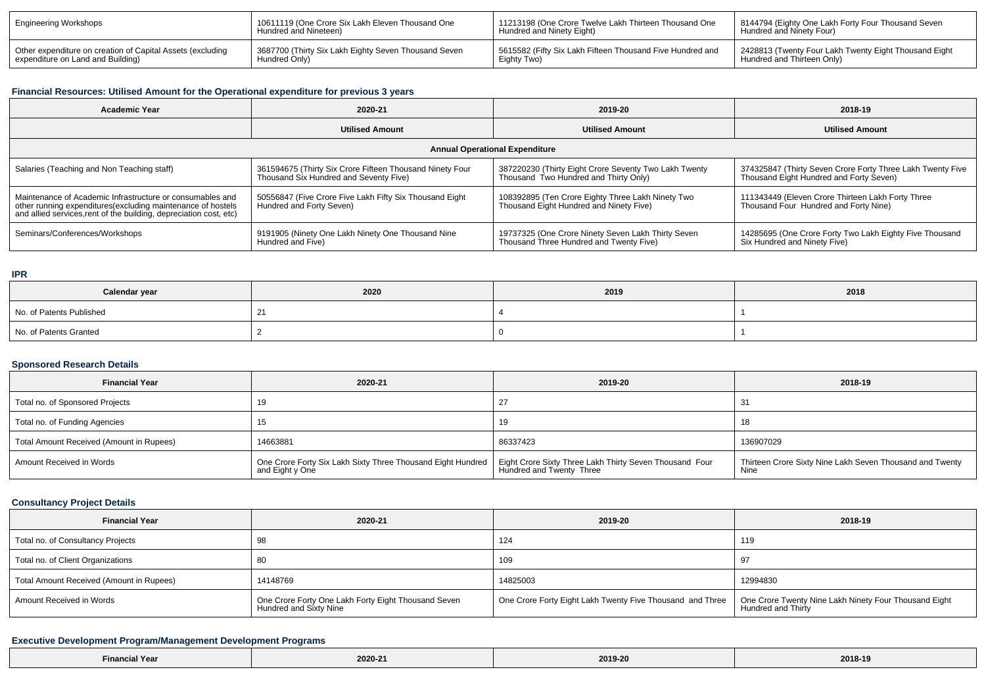| <b>Engineering Workshops</b>                               | <sup>1</sup> 10611119 (One Crore Six Lakh Eleven Thousand One         | 11213198 (One Crore Twelve Lakh Thirteen Thousand One     | <sup>1</sup> 8144794 (Eighty One Lakh Forty Four Thousand Seven |
|------------------------------------------------------------|-----------------------------------------------------------------------|-----------------------------------------------------------|-----------------------------------------------------------------|
|                                                            | Hundred and Nineteen)                                                 | Hundred and Ninety Eight)                                 | Hundred and Ninety Four)                                        |
| Other expenditure on creation of Capital Assets (excluding | 3687700 (Thirty Six Lakh Eighty Seven Thousand Seven<br>Hundred Only) | 5615582 (Fifty Six Lakh Fifteen Thousand Five Hundred and | 2428813 (Twenty Four Lakh Twenty Eight Thousand Eight           |
| expenditure on Land and Building)                          |                                                                       | Eighty Two)                                               | Hundred and Thirteen Only)                                      |

# **Financial Resources: Utilised Amount for the Operational expenditure for previous 3 years**

| <b>Academic Year</b>                                                                                                                                                                            | 2020-21                                                                                                                                                                                              | 2019-20                                                                                       | 2018-19                                                                                               |  |  |  |  |  |
|-------------------------------------------------------------------------------------------------------------------------------------------------------------------------------------------------|------------------------------------------------------------------------------------------------------------------------------------------------------------------------------------------------------|-----------------------------------------------------------------------------------------------|-------------------------------------------------------------------------------------------------------|--|--|--|--|--|
|                                                                                                                                                                                                 | <b>Utilised Amount</b>                                                                                                                                                                               | <b>Utilised Amount</b>                                                                        | <b>Utilised Amount</b>                                                                                |  |  |  |  |  |
| <b>Annual Operational Expenditure</b>                                                                                                                                                           |                                                                                                                                                                                                      |                                                                                               |                                                                                                       |  |  |  |  |  |
| Salaries (Teaching and Non Teaching staff)                                                                                                                                                      | 361594675 (Thirty Six Crore Fifteen Thousand Ninety Four<br>387220230 (Thirty Eight Crore Seventy Two Lakh Twenty<br>Thousand Two Hundred and Thirty Only)<br>Thousand Six Hundred and Seventy Five) |                                                                                               | 374325847 (Thirty Seven Crore Forty Three Lakh Twenty Five<br>Thousand Eight Hundred and Forty Seven) |  |  |  |  |  |
| Maintenance of Academic Infrastructure or consumables and<br>other running expenditures (excluding maintenance of hostels<br>and allied services, rent of the building, depreciation cost, etc) | 50556847 (Five Crore Five Lakh Fifty Six Thousand Eight<br>Hundred and Forty Seven)                                                                                                                  | 108392895 (Ten Crore Eighty Three Lakh Ninety Two<br>Thousand Eight Hundred and Ninety Five)  | 111343449 (Eleven Crore Thirteen Lakh Forty Three<br>Thousand Four Hundred and Forty Nine)            |  |  |  |  |  |
| Seminars/Conferences/Workshops                                                                                                                                                                  | 9191905 (Ninety One Lakh Ninety One Thousand Nine<br>Hundred and Five)                                                                                                                               | 19737325 (One Crore Ninety Seven Lakh Thirty Seven<br>Thousand Three Hundred and Twenty Five) | 14285695 (One Crore Forty Two Lakh Eighty Five Thousand<br>Six Hundred and Ninety Five)               |  |  |  |  |  |

# **IPR**

| Calendar year            | 2020 | 2019 | 2018 |
|--------------------------|------|------|------|
| No. of Patents Published |      |      |      |
| No. of Patents Granted   |      |      |      |

# **Sponsored Research Details**

| <b>Financial Year</b>                    | 2020-21                                                                        | 2019-20                                                                             | 2018-19                                                          |
|------------------------------------------|--------------------------------------------------------------------------------|-------------------------------------------------------------------------------------|------------------------------------------------------------------|
| Total no. of Sponsored Projects          |                                                                                |                                                                                     | -31                                                              |
| Total no. of Funding Agencies            |                                                                                | 19                                                                                  | 18                                                               |
| Total Amount Received (Amount in Rupees) | 14663881                                                                       | 86337423                                                                            | 136907029                                                        |
| Amount Received in Words                 | One Crore Forty Six Lakh Sixty Three Thousand Eight Hundred<br>and Eight y One | Eight Crore Sixty Three Lakh Thirty Seven Thousand Four<br>Hundred and Twenty Three | Thirteen Crore Sixty Nine Lakh Seven Thousand and Twenty<br>Nine |

# **Consultancy Project Details**

| <b>Financial Year</b>                    | 2020-21                                                                       | 2019-20                                                                                                                                 | 2018-19  |
|------------------------------------------|-------------------------------------------------------------------------------|-----------------------------------------------------------------------------------------------------------------------------------------|----------|
| Total no. of Consultancy Projects        |                                                                               | 124                                                                                                                                     | 119      |
| Total no. of Client Organizations        |                                                                               | 109                                                                                                                                     | -97      |
| Total Amount Received (Amount in Rupees) | 14148769                                                                      | 14825003                                                                                                                                | 12994830 |
| Amount Received in Words                 | One Crore Forty One Lakh Forty Eight Thousand Seven<br>Hundred and Sixty Nine | One Crore Forty Eight Lakh Twenty Five Thousand and Three   One Crore Twenty Nine Lakh Ninety Four Thousand Eight<br>Hundred and Thirty |          |

# **Executive Development Program/Management Development Programs**

| --<br>Yez<br>-ınaı | 2020-21 | 2019-20 | 2018-19 |
|--------------------|---------|---------|---------|
|--------------------|---------|---------|---------|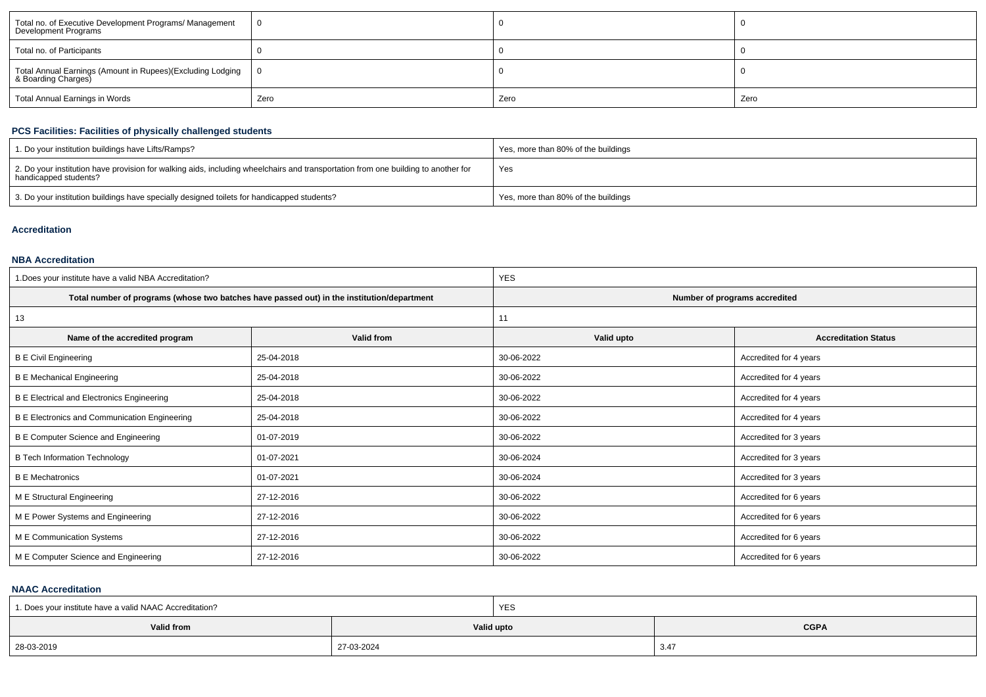| Total no. of Executive Development Programs/ Management<br>Development Programs   |      |      |      |
|-----------------------------------------------------------------------------------|------|------|------|
| Total no. of Participants                                                         |      |      |      |
| Total Annual Earnings (Amount in Rupees)(Excluding Lodging<br>& Boarding Charges) |      |      |      |
| Total Annual Earnings in Words                                                    | Zero | Zero | Zero |

# **PCS Facilities: Facilities of physically challenged students**

| 1. Do your institution buildings have Lifts/Ramps?                                                                                                         | Yes, more than 80% of the buildings |
|------------------------------------------------------------------------------------------------------------------------------------------------------------|-------------------------------------|
| 2. Do your institution have provision for walking aids, including wheelchairs and transportation from one building to another for<br>handicapped students? | Yes                                 |
| 3. Do your institution buildings have specially designed toilets for handicapped students?                                                                 | Yes, more than 80% of the buildings |

# **Accreditation**

# **NBA Accreditation**

| 1. Does your institute have a valid NBA Accreditation? |                                                                                            | <b>YES</b>                    |                             |  |  |
|--------------------------------------------------------|--------------------------------------------------------------------------------------------|-------------------------------|-----------------------------|--|--|
|                                                        | Total number of programs (whose two batches have passed out) in the institution/department | Number of programs accredited |                             |  |  |
| 13                                                     |                                                                                            | 11                            |                             |  |  |
| Name of the accredited program                         | Valid from                                                                                 | Valid upto                    | <b>Accreditation Status</b> |  |  |
| <b>B E Civil Engineering</b>                           | 25-04-2018                                                                                 | 30-06-2022                    | Accredited for 4 years      |  |  |
| <b>B E Mechanical Engineering</b>                      | 25-04-2018                                                                                 | 30-06-2022                    | Accredited for 4 years      |  |  |
| <b>B E Electrical and Electronics Engineering</b>      | 25-04-2018                                                                                 | 30-06-2022                    | Accredited for 4 years      |  |  |
| <b>B E Electronics and Communication Engineering</b>   | 25-04-2018                                                                                 | 30-06-2022                    | Accredited for 4 years      |  |  |
| B E Computer Science and Engineering                   | 01-07-2019                                                                                 | 30-06-2022                    | Accredited for 3 years      |  |  |
| <b>B Tech Information Technology</b>                   | 01-07-2021                                                                                 | 30-06-2024                    | Accredited for 3 years      |  |  |
| <b>B E Mechatronics</b>                                | 01-07-2021                                                                                 | 30-06-2024                    | Accredited for 3 years      |  |  |
| M E Structural Engineering                             | 27-12-2016                                                                                 | 30-06-2022                    | Accredited for 6 years      |  |  |
| M E Power Systems and Engineering                      | 27-12-2016                                                                                 | 30-06-2022                    | Accredited for 6 years      |  |  |
| M E Communication Systems                              | 27-12-2016                                                                                 | 30-06-2022                    | Accredited for 6 years      |  |  |
| M E Computer Science and Engineering                   | 27-12-2016                                                                                 | 30-06-2022                    | Accredited for 6 years      |  |  |

# **NAAC Accreditation**

| 1. Does your institute have a valid NAAC Accreditation? |            | YES |             |
|---------------------------------------------------------|------------|-----|-------------|
| Valid from                                              | Valid upto |     | <b>CGPA</b> |
| 28-03-2019                                              | 27-03-2024 |     | 3.47        |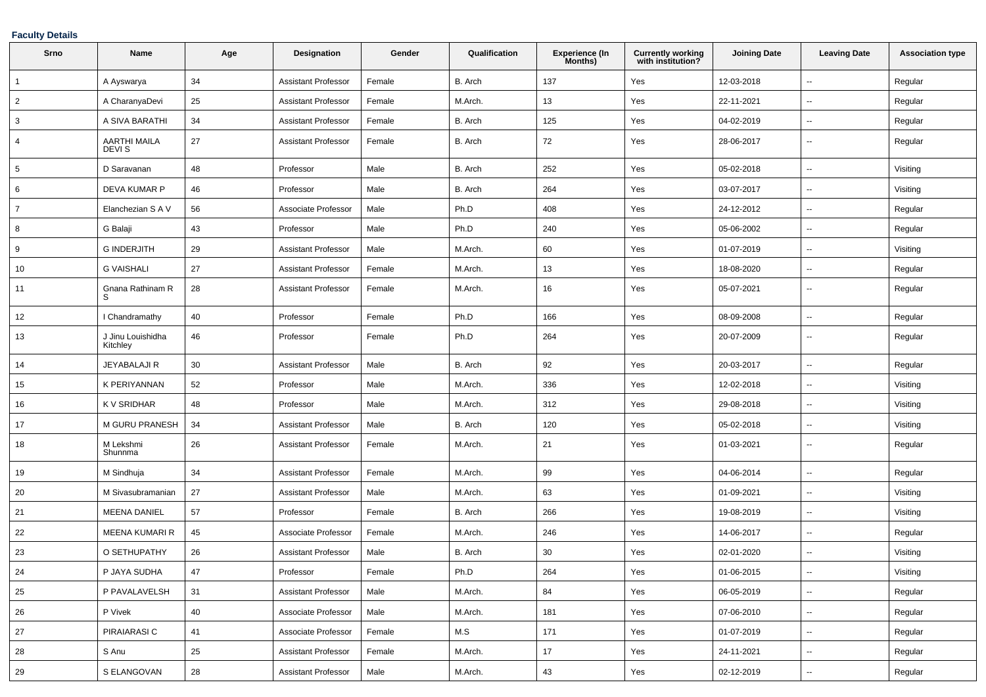# **Faculty Details**

| Srno            | Name                              | Age | <b>Designation</b>         | Gender | Qualification | <b>Experience (In</b><br>Months) | <b>Currently working</b><br>with institution? | <b>Joining Date</b> | <b>Leaving Date</b>      | <b>Association type</b> |
|-----------------|-----------------------------------|-----|----------------------------|--------|---------------|----------------------------------|-----------------------------------------------|---------------------|--------------------------|-------------------------|
| $\overline{1}$  | A Ayswarya                        | 34  | Assistant Professor        | Female | B. Arch       | 137                              | Yes                                           | 12-03-2018          | $\overline{\phantom{a}}$ | Regular                 |
| $\overline{2}$  | A CharanyaDevi                    | 25  | <b>Assistant Professor</b> | Female | M.Arch.       | 13                               | Yes                                           | 22-11-2021          | $\sim$                   | Regular                 |
| 3               | A SIVA BARATHI                    | 34  | <b>Assistant Professor</b> | Female | B. Arch       | 125                              | Yes                                           | 04-02-2019          | $\overline{\phantom{a}}$ | Regular                 |
| 4               | AARTHI MAILA<br>DEVI <sub>S</sub> | 27  | <b>Assistant Professor</b> | Female | B. Arch       | 72                               | Yes                                           | 28-06-2017          | $\sim$                   | Regular                 |
| $5\overline{5}$ | D Saravanan                       | 48  | Professor                  | Male   | B. Arch       | 252                              | Yes                                           | 05-02-2018          | $\sim$                   | Visiting                |
| 6               | DEVA KUMAR P                      | 46  | Professor                  | Male   | B. Arch       | 264                              | Yes                                           | 03-07-2017          | $\overline{\phantom{a}}$ | Visiting                |
| $\overline{7}$  | Elanchezian S A V                 | 56  | Associate Professor        | Male   | Ph.D          | 408                              | Yes                                           | 24-12-2012          | $\overline{\phantom{a}}$ | Regular                 |
| 8               | G Balaji                          | 43  | Professor                  | Male   | Ph.D          | 240                              | Yes                                           | 05-06-2002          | $\overline{\phantom{a}}$ | Regular                 |
| 9               | <b>G INDERJITH</b>                | 29  | <b>Assistant Professor</b> | Male   | M.Arch.       | 60                               | Yes                                           | 01-07-2019          | $\overline{\phantom{a}}$ | Visiting                |
| 10              | <b>G VAISHALI</b>                 | 27  | <b>Assistant Professor</b> | Female | M.Arch.       | 13                               | Yes                                           | 18-08-2020          | $\overline{\phantom{a}}$ | Regular                 |
| 11              | Gnana Rathinam R<br>S             | 28  | <b>Assistant Professor</b> | Female | M.Arch.       | 16                               | Yes                                           | 05-07-2021          | $\overline{\phantom{a}}$ | Regular                 |
| 12              | I Chandramathy                    | 40  | Professor                  | Female | Ph.D          | 166                              | Yes                                           | 08-09-2008          | $\ddotsc$                | Regular                 |
| 13              | J Jinu Louishidha<br>Kitchley     | 46  | Professor                  | Female | Ph.D          | 264                              | Yes                                           | 20-07-2009          | $\sim$                   | Regular                 |
| 14              | JEYABALAJI R                      | 30  | <b>Assistant Professor</b> | Male   | B. Arch       | 92                               | Yes                                           | 20-03-2017          | $\sim$                   | Regular                 |
| 15              | K PERIYANNAN                      | 52  | Professor                  | Male   | M.Arch.       | 336                              | Yes                                           | 12-02-2018          | $\overline{\phantom{a}}$ | Visiting                |
| 16              | K V SRIDHAR                       | 48  | Professor                  | Male   | M.Arch.       | 312                              | Yes                                           | 29-08-2018          | $\overline{\phantom{a}}$ | Visiting                |
| 17              | M GURU PRANESH                    | 34  | <b>Assistant Professor</b> | Male   | B. Arch       | 120                              | Yes                                           | 05-02-2018          | $\sim$                   | Visiting                |
| 18              | M Lekshmi<br>Shunnma              | 26  | <b>Assistant Professor</b> | Female | M.Arch.       | 21                               | Yes                                           | 01-03-2021          | $\sim$                   | Regular                 |
| 19              | M Sindhuja                        | 34  | <b>Assistant Professor</b> | Female | M.Arch.       | 99                               | Yes                                           | 04-06-2014          | $\overline{\phantom{a}}$ | Regular                 |
| 20              | M Sivasubramanian                 | 27  | <b>Assistant Professor</b> | Male   | M.Arch.       | 63                               | Yes                                           | 01-09-2021          | $\overline{\phantom{a}}$ | Visiting                |
| 21              | <b>MEENA DANIEL</b>               | 57  | Professor                  | Female | B. Arch       | 266                              | Yes                                           | 19-08-2019          | $\sim$                   | Visiting                |
| 22              | MEENA KUMARI R                    | 45  | Associate Professor        | Female | M.Arch.       | 246                              | Yes                                           | 14-06-2017          | $\sim$                   | Regular                 |
| 23              | O SETHUPATHY                      | 26  | <b>Assistant Professor</b> | Male   | B. Arch       | 30                               | Yes                                           | 02-01-2020          | $\overline{\phantom{a}}$ | Visiting                |
| 24              | P JAYA SUDHA                      | 47  | Professor                  | Female | Ph.D          | 264                              | Yes                                           | 01-06-2015          | $\sim$                   | Visiting                |
| 25              | P PAVALAVELSH                     | 31  | <b>Assistant Professor</b> | Male   | M.Arch.       | 84                               | Yes                                           | 06-05-2019          | $\overline{\phantom{a}}$ | Regular                 |
| 26              | P Vivek                           | 40  | Associate Professor        | Male   | M.Arch.       | 181                              | Yes                                           | 07-06-2010          | $\overline{\phantom{a}}$ | Regular                 |
| 27              | PIRAIARASI C                      | 41  | Associate Professor        | Female | M.S           | 171                              | Yes                                           | 01-07-2019          | $\sim$                   | Regular                 |
| 28              | S Anu                             | 25  | <b>Assistant Professor</b> | Female | M.Arch.       | 17                               | Yes                                           | 24-11-2021          | $\sim$                   | Regular                 |
| 29              | S ELANGOVAN                       | 28  | <b>Assistant Professor</b> | Male   | M.Arch.       | 43                               | Yes                                           | 02-12-2019          | $\sim$                   | Regular                 |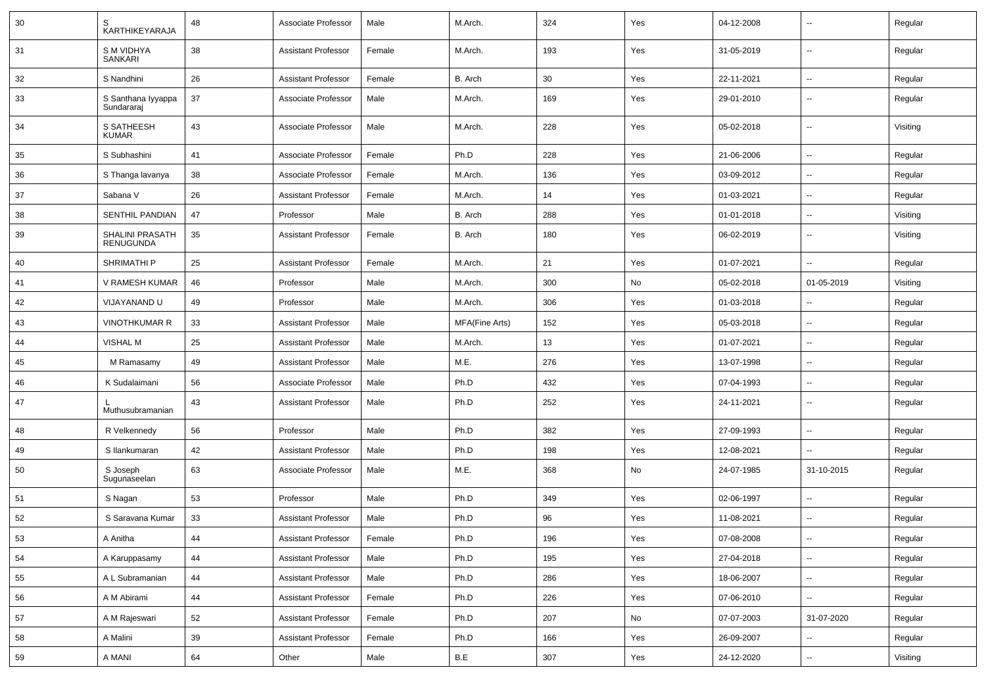| 30 | S<br>KARTHIKEYARAJA                 | 48 | Associate Professor        | Male   | M.Arch.        | 324 | Yes | 04-12-2008 |                          | Regular  |
|----|-------------------------------------|----|----------------------------|--------|----------------|-----|-----|------------|--------------------------|----------|
| 31 | <b>SM VIDHYA</b><br>SANKARI         | 38 | <b>Assistant Professor</b> | Female | M.Arch.        | 193 | Yes | 31-05-2019 | $\overline{\phantom{a}}$ | Regular  |
| 32 | S Nandhini                          | 26 | <b>Assistant Professor</b> | Female | B. Arch        | 30  | Yes | 22-11-2021 | $\overline{\phantom{a}}$ | Regular  |
| 33 | S Santhana Iyyappa<br>Sundararaj    | 37 | Associate Professor        | Male   | M.Arch.        | 169 | Yes | 29-01-2010 | $\overline{\phantom{a}}$ | Regular  |
| 34 | S SATHEESH<br><b>KUMAR</b>          | 43 | Associate Professor        | Male   | M.Arch.        | 228 | Yes | 05-02-2018 | $\overline{\phantom{a}}$ | Visiting |
| 35 | S Subhashini                        | 41 | Associate Professor        | Female | Ph.D           | 228 | Yes | 21-06-2006 | $\overline{\phantom{a}}$ | Regular  |
| 36 | S Thanga lavanya                    | 38 | Associate Professor        | Female | M.Arch.        | 136 | Yes | 03-09-2012 | --                       | Regular  |
| 37 | Sabana V                            | 26 | <b>Assistant Professor</b> | Female | M.Arch.        | 14  | Yes | 01-03-2021 |                          | Regular  |
| 38 | SENTHIL PANDIAN                     | 47 | Professor                  | Male   | B. Arch        | 288 | Yes | 01-01-2018 | $\overline{\phantom{a}}$ | Visiting |
| 39 | SHALINI PRASATH<br><b>RENUGUNDA</b> | 35 | <b>Assistant Professor</b> | Female | B. Arch        | 180 | Yes | 06-02-2019 | ⊷.                       | Visiting |
| 40 | SHRIMATHI P                         | 25 | Assistant Professor        | Female | M.Arch.        | 21  | Yes | 01-07-2021 | $\overline{\phantom{a}}$ | Regular  |
| 41 | V RAMESH KUMAR                      | 46 | Professor                  | Male   | M.Arch.        | 300 | No  | 05-02-2018 | 01-05-2019               | Visiting |
| 42 | VIJAYANAND U                        | 49 | Professor                  | Male   | M.Arch.        | 306 | Yes | 01-03-2018 | $\overline{\phantom{a}}$ | Regular  |
| 43 | <b>VINOTHKUMAR R</b>                | 33 | <b>Assistant Professor</b> | Male   | MFA(Fine Arts) | 152 | Yes | 05-03-2018 | $\overline{\phantom{a}}$ | Regular  |
| 44 | <b>VISHAL M</b>                     | 25 | <b>Assistant Professor</b> | Male   | M.Arch.        | 13  | Yes | 01-07-2021 | --                       | Regular  |
| 45 | M Ramasamy                          | 49 | <b>Assistant Professor</b> | Male   | M.E.           | 276 | Yes | 13-07-1998 | $\overline{\phantom{a}}$ | Regular  |
| 46 | K Sudalaimani                       | 56 | Associate Professor        | Male   | Ph.D           | 432 | Yes | 07-04-1993 | $\overline{\phantom{a}}$ | Regular  |
| 47 | Muthusubramanian                    | 43 | <b>Assistant Professor</b> | Male   | Ph.D           | 252 | Yes | 24-11-2021 | $\overline{\phantom{a}}$ | Regular  |
| 48 | R Velkennedy                        | 56 | Professor                  | Male   | Ph.D           | 382 | Yes | 27-09-1993 | --                       | Regular  |
| 49 | S Ilankumaran                       | 42 | <b>Assistant Professor</b> | Male   | Ph.D           | 198 | Yes | 12-08-2021 | $\overline{\phantom{a}}$ | Regular  |
| 50 | S Joseph<br>Sugunaseelan            | 63 | Associate Professor        | Male   | M.E.           | 368 | No  | 24-07-1985 | 31-10-2015               | Regular  |
| 51 | S Nagan                             | 53 | Professor                  | Male   | Ph.D           | 349 | Yes | 02-06-1997 | $\overline{\phantom{a}}$ | Regular  |
| 52 | S Saravana Kumar                    | 33 | <b>Assistant Professor</b> | Male   | Ph.D           | 96  | Yes | 11-08-2021 | --                       | Regular  |
| 53 | A Anitha                            | 44 | Assistant Professor        | Female | Ph.D           | 196 | Yes | 07-08-2008 |                          | Regular  |
| 54 | A Karuppasamy                       | 44 | <b>Assistant Professor</b> | Male   | Ph.D           | 195 | Yes | 27-04-2018 | $\sim$                   | Regular  |
| 55 | A L Subramanian                     | 44 | Assistant Professor        | Male   | Ph.D           | 286 | Yes | 18-06-2007 | $\sim$                   | Regular  |
| 56 | A M Abirami                         | 44 | Assistant Professor        | Female | Ph.D           | 226 | Yes | 07-06-2010 | $\sim$                   | Regular  |
| 57 | A M Rajeswari                       | 52 | <b>Assistant Professor</b> | Female | Ph.D           | 207 | No  | 07-07-2003 | 31-07-2020               | Regular  |
| 58 | A Malini                            | 39 | <b>Assistant Professor</b> | Female | Ph.D           | 166 | Yes | 26-09-2007 |                          | Regular  |
| 59 | A MANI                              | 64 | Other                      | Male   | B.E            | 307 | Yes | 24-12-2020 | $\overline{\phantom{a}}$ | Visiting |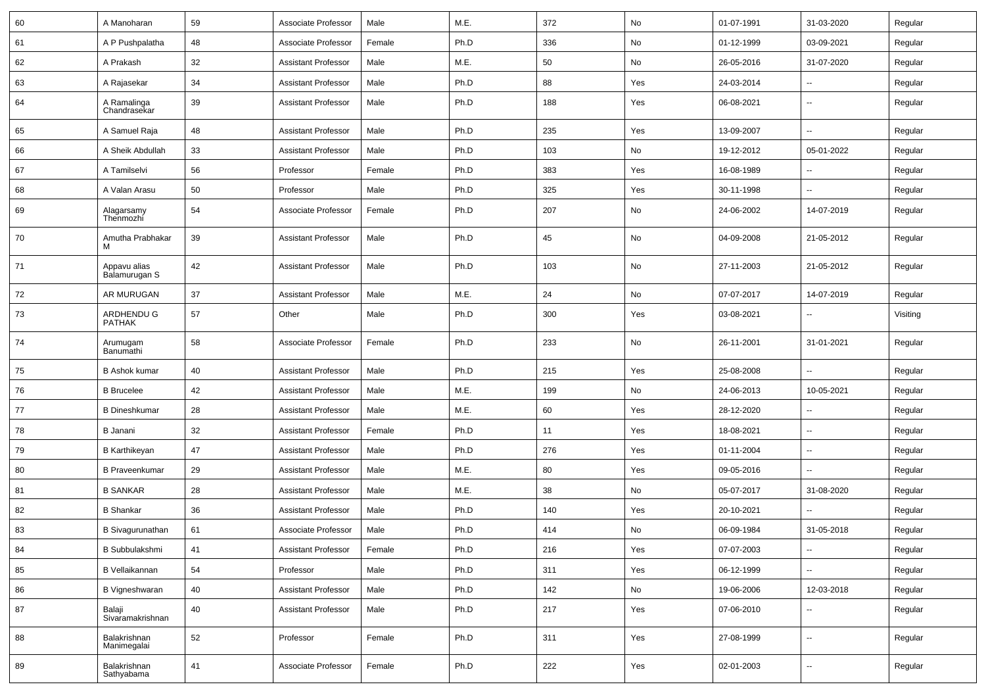| 60 | A Manoharan                   | 59 | Associate Professor        | Male   | M.E. | 372 | No  | 01-07-1991 | 31-03-2020               | Regular  |
|----|-------------------------------|----|----------------------------|--------|------|-----|-----|------------|--------------------------|----------|
| 61 | A P Pushpalatha               | 48 | Associate Professor        | Female | Ph.D | 336 | No  | 01-12-1999 | 03-09-2021               | Regular  |
| 62 | A Prakash                     | 32 | <b>Assistant Professor</b> | Male   | M.E. | 50  | No  | 26-05-2016 | 31-07-2020               | Regular  |
| 63 | A Rajasekar                   | 34 | <b>Assistant Professor</b> | Male   | Ph.D | 88  | Yes | 24-03-2014 | --                       | Regular  |
| 64 | A Ramalinga<br>Chandrasekar   | 39 | <b>Assistant Professor</b> | Male   | Ph.D | 188 | Yes | 06-08-2021 | --                       | Regular  |
| 65 | A Samuel Raja                 | 48 | <b>Assistant Professor</b> | Male   | Ph.D | 235 | Yes | 13-09-2007 | -−                       | Regular  |
| 66 | A Sheik Abdullah              | 33 | <b>Assistant Professor</b> | Male   | Ph.D | 103 | No  | 19-12-2012 | 05-01-2022               | Regular  |
| 67 | A Tamilselvi                  | 56 | Professor                  | Female | Ph.D | 383 | Yes | 16-08-1989 | $\overline{\phantom{a}}$ | Regular  |
| 68 | A Valan Arasu                 | 50 | Professor                  | Male   | Ph.D | 325 | Yes | 30-11-1998 | -−                       | Regular  |
| 69 | Alagarsamy<br>Thenmozhi       | 54 | Associate Professor        | Female | Ph.D | 207 | No  | 24-06-2002 | 14-07-2019               | Regular  |
| 70 | Amutha Prabhakar<br>M         | 39 | <b>Assistant Professor</b> | Male   | Ph.D | 45  | No  | 04-09-2008 | 21-05-2012               | Regular  |
| 71 | Appavu alias<br>Balamurugan S | 42 | <b>Assistant Professor</b> | Male   | Ph.D | 103 | No  | 27-11-2003 | 21-05-2012               | Regular  |
| 72 | AR MURUGAN                    | 37 | <b>Assistant Professor</b> | Male   | M.E. | 24  | No  | 07-07-2017 | 14-07-2019               | Regular  |
| 73 | ARDHENDU G<br><b>PATHAK</b>   | 57 | Other                      | Male   | Ph.D | 300 | Yes | 03-08-2021 | --                       | Visiting |
| 74 | Arumugam<br>Banumathi         | 58 | Associate Professor        | Female | Ph.D | 233 | No  | 26-11-2001 | 31-01-2021               | Regular  |
| 75 | <b>B</b> Ashok kumar          | 40 | <b>Assistant Professor</b> | Male   | Ph.D | 215 | Yes | 25-08-2008 | -−                       | Regular  |
| 76 | <b>B</b> Brucelee             | 42 | <b>Assistant Professor</b> | Male   | M.E. | 199 | No  | 24-06-2013 | 10-05-2021               | Regular  |
| 77 | <b>B</b> Dineshkumar          | 28 | <b>Assistant Professor</b> | Male   | M.E. | 60  | Yes | 28-12-2020 |                          | Regular  |
| 78 | B Janani                      | 32 | <b>Assistant Professor</b> | Female | Ph.D | 11  | Yes | 18-08-2021 | $\overline{\phantom{a}}$ | Regular  |
| 79 | <b>B</b> Karthikeyan          | 47 | <b>Assistant Professor</b> | Male   | Ph.D | 276 | Yes | 01-11-2004 | ⊷.                       | Regular  |
| 80 | <b>B</b> Praveenkumar         | 29 | <b>Assistant Professor</b> | Male   | M.E. | 80  | Yes | 09-05-2016 |                          | Regular  |
| 81 | <b>B SANKAR</b>               | 28 | <b>Assistant Professor</b> | Male   | M.E. | 38  | No  | 05-07-2017 | 31-08-2020               | Regular  |
| 82 | <b>B</b> Shankar              | 36 | <b>Assistant Professor</b> | Male   | Ph.D | 140 | Yes | 20-10-2021 |                          | Regular  |
| 83 | <b>B</b> Sivagurunathan       | 61 | Associate Professor        | Male   | Ph.D | 414 | No  | 06-09-1984 | 31-05-2018               | Regular  |
| 84 | <b>B</b> Subbulakshmi         | 41 | <b>Assistant Professor</b> | Female | Ph.D | 216 | Yes | 07-07-2003 | $\sim$                   | Regular  |
| 85 | B Vellaikannan                | 54 | Professor                  | Male   | Ph.D | 311 | Yes | 06-12-1999 | $\sim$                   | Regular  |
| 86 | B Vigneshwaran                | 40 | <b>Assistant Professor</b> | Male   | Ph.D | 142 | No  | 19-06-2006 | 12-03-2018               | Regular  |
| 87 | Balaji<br>Sivaramakrishnan    | 40 | <b>Assistant Professor</b> | Male   | Ph.D | 217 | Yes | 07-06-2010 | $\overline{\phantom{a}}$ | Regular  |
| 88 | Balakrishnan<br>Manimegalai   | 52 | Professor                  | Female | Ph.D | 311 | Yes | 27-08-1999 | Щ,                       | Regular  |
| 89 | Balakrishnan<br>Sathyabama    | 41 | Associate Professor        | Female | Ph.D | 222 | Yes | 02-01-2003 | -−                       | Regular  |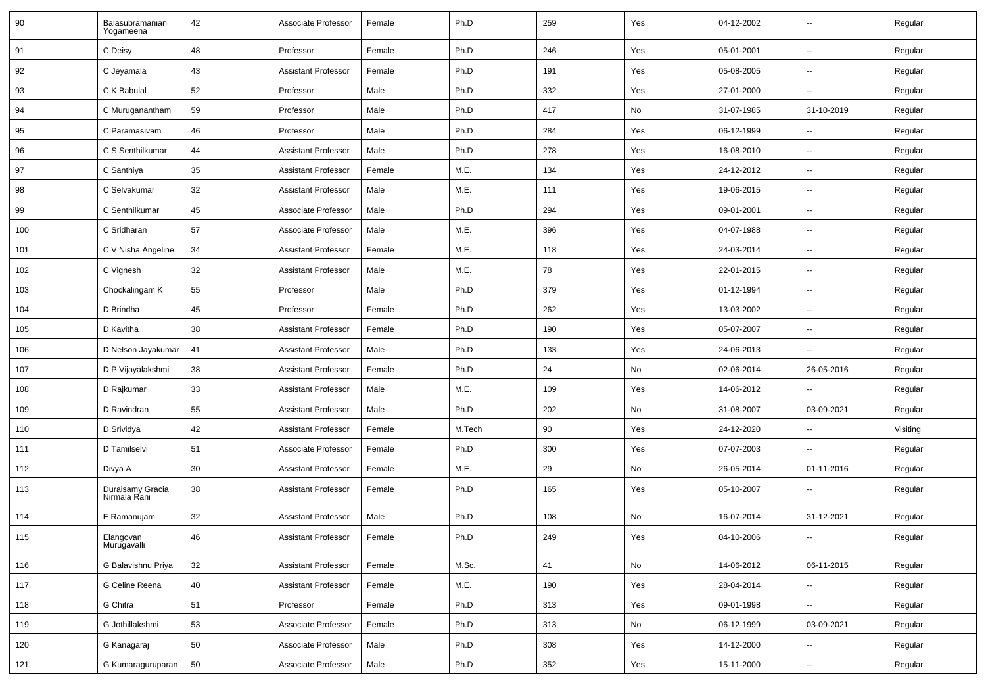| 90  | Balasubramanian<br>Yogameena     | 42     | Associate Professor        | Female | Ph.D   | 259 | Yes | 04-12-2002 | $\overline{\phantom{a}}$ | Regular  |
|-----|----------------------------------|--------|----------------------------|--------|--------|-----|-----|------------|--------------------------|----------|
| 91  | C Deisy                          | 48     | Professor                  | Female | Ph.D   | 246 | Yes | 05-01-2001 | $\sim$                   | Regular  |
| 92  | C Jeyamala                       | 43     | <b>Assistant Professor</b> | Female | Ph.D   | 191 | Yes | 05-08-2005 | --                       | Regular  |
| 93  | C K Babulal                      | 52     | Professor                  | Male   | Ph.D   | 332 | Yes | 27-01-2000 | $\sim$                   | Regular  |
| 94  | C Muruganantham                  | 59     | Professor                  | Male   | Ph.D   | 417 | No  | 31-07-1985 | 31-10-2019               | Regular  |
| 95  | C Paramasivam                    | 46     | Professor                  | Male   | Ph.D   | 284 | Yes | 06-12-1999 |                          | Regular  |
| 96  | C S Senthilkumar                 | 44     | <b>Assistant Professor</b> | Male   | Ph.D   | 278 | Yes | 16-08-2010 | $\overline{\phantom{a}}$ | Regular  |
| 97  | C Santhiya                       | 35     | <b>Assistant Professor</b> | Female | M.E.   | 134 | Yes | 24-12-2012 | $\sim$                   | Regular  |
| 98  | C Selvakumar                     | 32     | <b>Assistant Professor</b> | Male   | M.E.   | 111 | Yes | 19-06-2015 | --                       | Regular  |
| 99  | C Senthilkumar                   | 45     | Associate Professor        | Male   | Ph.D   | 294 | Yes | 09-01-2001 | $\sim$                   | Regular  |
| 100 | C Sridharan                      | 57     | Associate Professor        | Male   | M.E.   | 396 | Yes | 04-07-1988 | $\overline{\phantom{a}}$ | Regular  |
| 101 | C V Nisha Angeline               | 34     | <b>Assistant Professor</b> | Female | M.E.   | 118 | Yes | 24-03-2014 | -−                       | Regular  |
| 102 | C Vignesh                        | 32     | <b>Assistant Professor</b> | Male   | M.E.   | 78  | Yes | 22-01-2015 | Ξ.                       | Regular  |
| 103 | Chockalingam K                   | 55     | Professor                  | Male   | Ph.D   | 379 | Yes | 01-12-1994 | ⊷.                       | Regular  |
| 104 | D Brindha                        | 45     | Professor                  | Female | Ph.D   | 262 | Yes | 13-03-2002 | -−                       | Regular  |
| 105 | D Kavitha                        | 38     | <b>Assistant Professor</b> | Female | Ph.D   | 190 | Yes | 05-07-2007 | ⊷.                       | Regular  |
| 106 | D Nelson Jayakumar               | 41     | <b>Assistant Professor</b> | Male   | Ph.D   | 133 | Yes | 24-06-2013 | --                       | Regular  |
| 107 | D P Vijayalakshmi                | 38     | <b>Assistant Professor</b> | Female | Ph.D   | 24  | No  | 02-06-2014 | 26-05-2016               | Regular  |
| 108 | D Rajkumar                       | 33     | <b>Assistant Professor</b> | Male   | M.E.   | 109 | Yes | 14-06-2012 | --                       | Regular  |
| 109 | D Ravindran                      | 55     | <b>Assistant Professor</b> | Male   | Ph.D   | 202 | No  | 31-08-2007 | 03-09-2021               | Regular  |
| 110 | D Srividya                       | 42     | <b>Assistant Professor</b> | Female | M.Tech | 90  | Yes | 24-12-2020 | --                       | Visiting |
| 111 | D Tamilselvi                     | 51     | Associate Professor        | Female | Ph.D   | 300 | Yes | 07-07-2003 | $\mathbf{u}$             | Regular  |
| 112 | Divya A                          | 30     | <b>Assistant Professor</b> | Female | M.E.   | 29  | No  | 26-05-2014 | 01-11-2016               | Regular  |
| 113 | Duraisamy Gracia<br>Nirmala Rani | 38     | <b>Assistant Professor</b> | Female | Ph.D   | 165 | Yes | 05-10-2007 | --                       | Regular  |
| 114 | E Ramanujam                      | 32     | <b>Assistant Professor</b> | Male   | Ph.D   | 108 | No  | 16-07-2014 | 31-12-2021               | Regular  |
| 115 | Elangovan<br>Murugavalli         | 46     | <b>Assistant Professor</b> | Female | Ph.D   | 249 | Yes | 04-10-2006 |                          | Regular  |
| 116 | G Balavishnu Priya               | 32     | <b>Assistant Professor</b> | Female | M.Sc.  | 41  | No  | 14-06-2012 | 06-11-2015               | Regular  |
| 117 | G Celine Reena                   | 40     | Assistant Professor        | Female | M.E.   | 190 | Yes | 28-04-2014 | ц,                       | Regular  |
| 118 | G Chitra                         | 51     | Professor                  | Female | Ph.D   | 313 | Yes | 09-01-1998 | Щ.                       | Regular  |
| 119 | G Jothillakshmi                  | 53     | Associate Professor        | Female | Ph.D   | 313 | No  | 06-12-1999 | 03-09-2021               | Regular  |
| 120 | G Kanagaraj                      | $50\,$ | Associate Professor        | Male   | Ph.D   | 308 | Yes | 14-12-2000 | --                       | Regular  |
| 121 | G Kumaraguruparan                | 50     | Associate Professor        | Male   | Ph.D   | 352 | Yes | 15-11-2000 | н,                       | Regular  |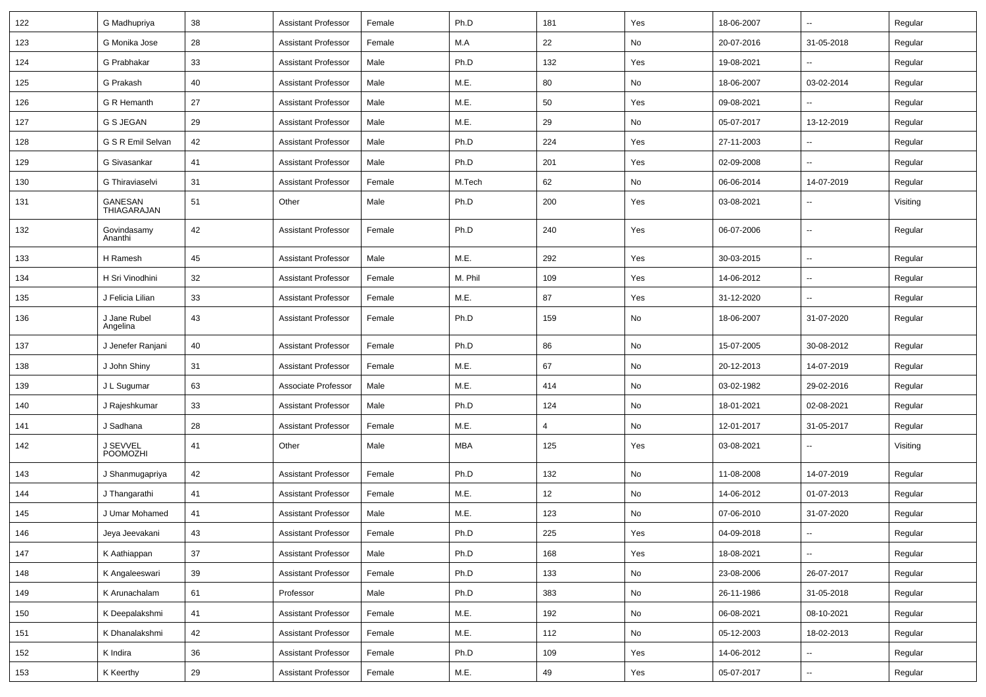| 122 | G Madhupriya             | 38 | <b>Assistant Professor</b> | Female | Ph.D    | 181 | Yes           | 18-06-2007 |                          | Regular  |
|-----|--------------------------|----|----------------------------|--------|---------|-----|---------------|------------|--------------------------|----------|
| 123 | G Monika Jose            | 28 | <b>Assistant Professor</b> | Female | M.A     | 22  | No            | 20-07-2016 | 31-05-2018               | Regular  |
| 124 | G Prabhakar              | 33 | <b>Assistant Professor</b> | Male   | Ph.D    | 132 | Yes           | 19-08-2021 |                          | Regular  |
| 125 | G Prakash                | 40 | Assistant Professor        | Male   | M.E.    | 80  | No            | 18-06-2007 | 03-02-2014               | Regular  |
| 126 | G R Hemanth              | 27 | <b>Assistant Professor</b> | Male   | M.E.    | 50  | Yes           | 09-08-2021 |                          | Regular  |
| 127 | G S JEGAN                | 29 | <b>Assistant Professor</b> | Male   | M.E.    | 29  | No            | 05-07-2017 | 13-12-2019               | Regular  |
| 128 | G S R Emil Selvan        | 42 | <b>Assistant Professor</b> | Male   | Ph.D    | 224 | Yes           | 27-11-2003 |                          | Regular  |
| 129 | G Sivasankar             | 41 | <b>Assistant Professor</b> | Male   | Ph.D    | 201 | Yes           | 02-09-2008 | $-$                      | Regular  |
| 130 | G Thiraviaselvi          | 31 | <b>Assistant Professor</b> | Female | M.Tech  | 62  | No            | 06-06-2014 | 14-07-2019               | Regular  |
| 131 | GANESAN<br>THIAGARAJAN   | 51 | Other                      | Male   | Ph.D    | 200 | Yes           | 03-08-2021 |                          | Visiting |
| 132 | Govindasamy<br>Ananthi   | 42 | <b>Assistant Professor</b> | Female | Ph.D    | 240 | Yes           | 06-07-2006 | --                       | Regular  |
| 133 | H Ramesh                 | 45 | <b>Assistant Professor</b> | Male   | M.E.    | 292 | Yes           | 30-03-2015 | $\overline{\phantom{a}}$ | Regular  |
| 134 | H Sri Vinodhini          | 32 | <b>Assistant Professor</b> | Female | M. Phil | 109 | Yes           | 14-06-2012 | $\overline{\phantom{a}}$ | Regular  |
| 135 | J Felicia Lilian         | 33 | <b>Assistant Professor</b> | Female | M.E.    | 87  | Yes           | 31-12-2020 |                          | Regular  |
| 136 | J Jane Rubel<br>Angelina | 43 | <b>Assistant Professor</b> | Female | Ph.D    | 159 | No            | 18-06-2007 | 31-07-2020               | Regular  |
| 137 | J Jenefer Ranjani        | 40 | <b>Assistant Professor</b> | Female | Ph.D    | 86  | No            | 15-07-2005 | 30-08-2012               | Regular  |
| 138 | J John Shiny             | 31 | <b>Assistant Professor</b> | Female | M.E.    | 67  | No            | 20-12-2013 | 14-07-2019               | Regular  |
| 139 | J L Sugumar              | 63 | Associate Professor        | Male   | M.E.    | 414 | No            | 03-02-1982 | 29-02-2016               | Regular  |
| 140 | J Rajeshkumar            | 33 | Assistant Professor        | Male   | Ph.D    | 124 | No            | 18-01-2021 | 02-08-2021               | Regular  |
| 141 | J Sadhana                | 28 | <b>Assistant Professor</b> | Female | M.E.    | 4   | No            | 12-01-2017 | 31-05-2017               | Regular  |
| 142 | J SEVVEL<br>POOMOZHI     | 41 | Other                      | Male   | MBA     | 125 | Yes           | 03-08-2021 |                          | Visiting |
| 143 | J Shanmugapriya          | 42 | <b>Assistant Professor</b> | Female | Ph.D    | 132 | No            | 11-08-2008 | 14-07-2019               | Regular  |
| 144 | J Thangarathi            | 41 | <b>Assistant Professor</b> | Female | M.E.    | 12  | No            | 14-06-2012 | 01-07-2013               | Regular  |
| 145 | J Umar Mohamed           | 41 | <b>Assistant Professor</b> | Male   | M.E.    | 123 | No            | 07-06-2010 | 31-07-2020               | Regular  |
| 146 | Jeya Jeevakani           | 43 | Assistant Professor        | Female | Ph.D    | 225 | Yes           | 04-09-2018 | $\overline{\phantom{a}}$ | Regular  |
| 147 | K Aathiappan             | 37 | <b>Assistant Professor</b> | Male   | Ph.D    | 168 | Yes           | 18-08-2021 |                          | Regular  |
| 148 | K Angaleeswari           | 39 | <b>Assistant Professor</b> | Female | Ph.D    | 133 | No            | 23-08-2006 | 26-07-2017               | Regular  |
| 149 | K Arunachalam            | 61 | Professor                  | Male   | Ph.D    | 383 | No            | 26-11-1986 | 31-05-2018               | Regular  |
| 150 | K Deepalakshmi           | 41 | Assistant Professor        | Female | M.E.    | 192 | $\mathsf{No}$ | 06-08-2021 | 08-10-2021               | Regular  |
| 151 | K Dhanalakshmi           | 42 | <b>Assistant Professor</b> | Female | M.E.    | 112 | No            | 05-12-2003 | 18-02-2013               | Regular  |
| 152 | K Indira                 | 36 | <b>Assistant Professor</b> | Female | Ph.D    | 109 | Yes           | 14-06-2012 | н.                       | Regular  |
| 153 | K Keerthy                | 29 | Assistant Professor        | Female | M.E.    | 49  | Yes           | 05-07-2017 | --                       | Regular  |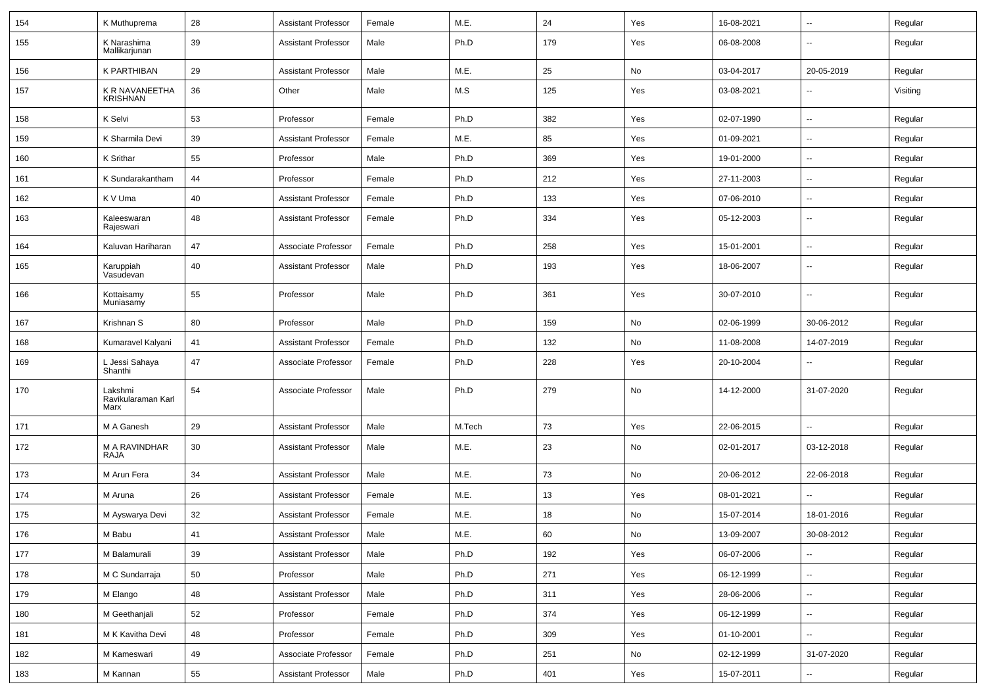| 154 | K Muthuprema                          | 28 | <b>Assistant Professor</b> | Female | M.E.   | 24  | Yes | 16-08-2021 | $\overline{\phantom{a}}$ | Regular  |
|-----|---------------------------------------|----|----------------------------|--------|--------|-----|-----|------------|--------------------------|----------|
| 155 | K Narashima<br>Mallikarjunan          | 39 | <b>Assistant Professor</b> | Male   | Ph.D   | 179 | Yes | 06-08-2008 | $\overline{\phantom{a}}$ | Regular  |
| 156 | K PARTHIBAN                           | 29 | <b>Assistant Professor</b> | Male   | M.E.   | 25  | No  | 03-04-2017 | 20-05-2019               | Regular  |
| 157 | K R NAVANEETHA<br><b>KRISHNAN</b>     | 36 | Other                      | Male   | M.S    | 125 | Yes | 03-08-2021 | --                       | Visiting |
| 158 | K Selvi                               | 53 | Professor                  | Female | Ph.D   | 382 | Yes | 02-07-1990 | $\overline{\phantom{a}}$ | Regular  |
| 159 | K Sharmila Devi                       | 39 | <b>Assistant Professor</b> | Female | M.E.   | 85  | Yes | 01-09-2021 | --                       | Regular  |
| 160 | K Srithar                             | 55 | Professor                  | Male   | Ph.D   | 369 | Yes | 19-01-2000 | --                       | Regular  |
| 161 | K Sundarakantham                      | 44 | Professor                  | Female | Ph.D   | 212 | Yes | 27-11-2003 | $\overline{\phantom{a}}$ | Regular  |
| 162 | K V Uma                               | 40 | <b>Assistant Professor</b> | Female | Ph.D   | 133 | Yes | 07-06-2010 | $\overline{\phantom{a}}$ | Regular  |
| 163 | Kaleeswaran<br>Rajeswari              | 48 | <b>Assistant Professor</b> | Female | Ph.D   | 334 | Yes | 05-12-2003 | ⊷.                       | Regular  |
| 164 | Kaluvan Hariharan                     | 47 | Associate Professor        | Female | Ph.D   | 258 | Yes | 15-01-2001 | ⊷.                       | Regular  |
| 165 | Karuppiah<br>Vasudevan                | 40 | <b>Assistant Professor</b> | Male   | Ph.D   | 193 | Yes | 18-06-2007 | $\overline{\phantom{a}}$ | Regular  |
| 166 | Kottaisamy<br>Muniasamy               | 55 | Professor                  | Male   | Ph.D   | 361 | Yes | 30-07-2010 | $\overline{\phantom{a}}$ | Regular  |
| 167 | Krishnan S                            | 80 | Professor                  | Male   | Ph.D   | 159 | No  | 02-06-1999 | 30-06-2012               | Regular  |
| 168 | Kumaravel Kalyani                     | 41 | <b>Assistant Professor</b> | Female | Ph.D   | 132 | No  | 11-08-2008 | 14-07-2019               | Regular  |
| 169 | L Jessi Sahaya<br>Shanthi             | 47 | Associate Professor        | Female | Ph.D   | 228 | Yes | 20-10-2004 | --                       | Regular  |
| 170 | Lakshmi<br>Ravikularaman Karl<br>Marx | 54 | Associate Professor        | Male   | Ph.D   | 279 | No  | 14-12-2000 | 31-07-2020               | Regular  |
| 171 | M A Ganesh                            | 29 | <b>Assistant Professor</b> | Male   | M.Tech | 73  | Yes | 22-06-2015 |                          | Regular  |
| 172 | M A RAVINDHAR<br>RAJA                 | 30 | <b>Assistant Professor</b> | Male   | M.E.   | 23  | No  | 02-01-2017 | 03-12-2018               | Regular  |
| 173 | M Arun Fera                           | 34 | <b>Assistant Professor</b> | Male   | M.E.   | 73  | No  | 20-06-2012 | 22-06-2018               | Regular  |
| 174 | M Aruna                               | 26 | <b>Assistant Professor</b> | Female | M.E.   | 13  | Yes | 08-01-2021 |                          | Regular  |
| 175 | M Ayswarya Devi                       | 32 | <b>Assistant Professor</b> | Female | M.E.   | 18  | No  | 15-07-2014 | 18-01-2016               | Regular  |
| 176 | M Babu                                | 41 | <b>Assistant Professor</b> | Male   | M.E.   | 60  | No  | 13-09-2007 | 30-08-2012               | Regular  |
| 177 | M Balamurali                          | 39 | <b>Assistant Professor</b> | Male   | Ph.D   | 192 | Yes | 06-07-2006 | $\sim$                   | Regular  |
| 178 | M C Sundarraja                        | 50 | Professor                  | Male   | Ph.D   | 271 | Yes | 06-12-1999 | $\overline{\phantom{a}}$ | Regular  |
| 179 | M Elango                              | 48 | <b>Assistant Professor</b> | Male   | Ph.D   | 311 | Yes | 28-06-2006 | $\sim$                   | Regular  |
| 180 | M Geethanjali                         | 52 | Professor                  | Female | Ph.D   | 374 | Yes | 06-12-1999 | $\overline{\phantom{a}}$ | Regular  |
| 181 | M K Kavitha Devi                      | 48 | Professor                  | Female | Ph.D   | 309 | Yes | 01-10-2001 | $\sim$                   | Regular  |
| 182 | M Kameswari                           | 49 | Associate Professor        | Female | Ph.D   | 251 | No  | 02-12-1999 | 31-07-2020               | Regular  |
| 183 | M Kannan                              | 55 | <b>Assistant Professor</b> | Male   | Ph.D   | 401 | Yes | 15-07-2011 | ₩,                       | Regular  |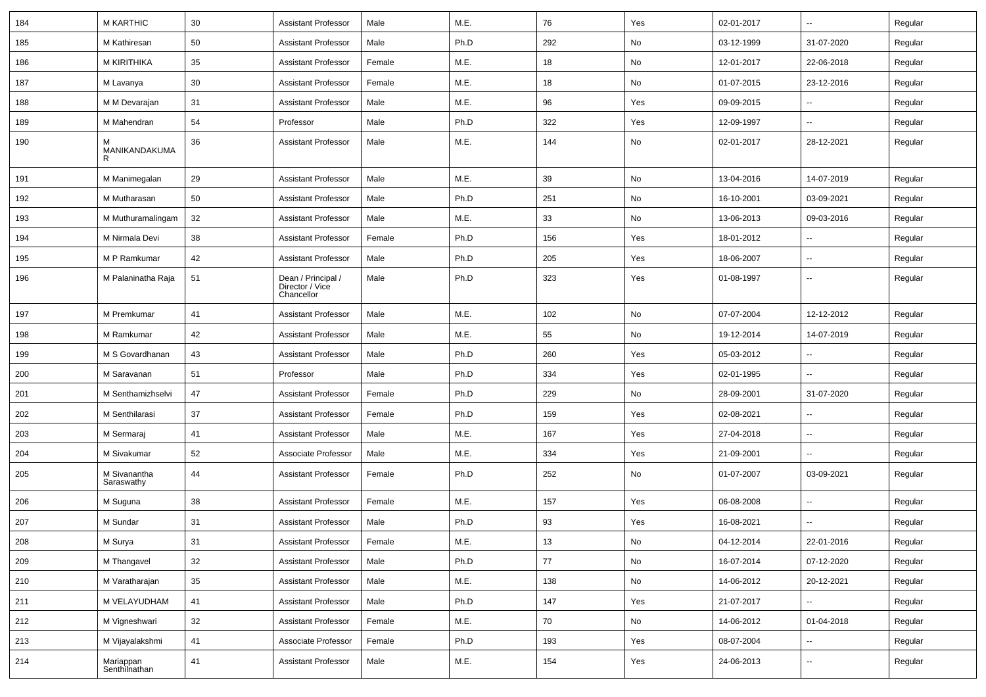| 184 | <b>M KARTHIC</b>           | 30 | <b>Assistant Professor</b>                          | Male   | M.E. | 76  | Yes | 02-01-2017 | $\overline{\phantom{a}}$ | Regular |
|-----|----------------------------|----|-----------------------------------------------------|--------|------|-----|-----|------------|--------------------------|---------|
| 185 | M Kathiresan               | 50 | <b>Assistant Professor</b>                          | Male   | Ph.D | 292 | No  | 03-12-1999 | 31-07-2020               | Regular |
| 186 | M KIRITHIKA                | 35 | <b>Assistant Professor</b>                          | Female | M.E. | 18  | No  | 12-01-2017 | 22-06-2018               | Regular |
| 187 | M Lavanya                  | 30 | <b>Assistant Professor</b>                          | Female | M.E. | 18  | No  | 01-07-2015 | 23-12-2016               | Regular |
| 188 | M M Devarajan              | 31 | <b>Assistant Professor</b>                          | Male   | M.E. | 96  | Yes | 09-09-2015 |                          | Regular |
| 189 | M Mahendran                | 54 | Professor                                           | Male   | Ph.D | 322 | Yes | 12-09-1997 | $\overline{a}$           | Regular |
| 190 | м<br>MANIKANDAKUMA<br>R    | 36 | <b>Assistant Professor</b>                          | Male   | M.E. | 144 | No  | 02-01-2017 | 28-12-2021               | Regular |
| 191 | M Manimegalan              | 29 | <b>Assistant Professor</b>                          | Male   | M.E. | 39  | No  | 13-04-2016 | 14-07-2019               | Regular |
| 192 | M Mutharasan               | 50 | <b>Assistant Professor</b>                          | Male   | Ph.D | 251 | No  | 16-10-2001 | 03-09-2021               | Regular |
| 193 | M Muthuramalingam          | 32 | <b>Assistant Professor</b>                          | Male   | M.E. | 33  | No  | 13-06-2013 | 09-03-2016               | Regular |
| 194 | M Nirmala Devi             | 38 | <b>Assistant Professor</b>                          | Female | Ph.D | 156 | Yes | 18-01-2012 | $\overline{\phantom{a}}$ | Regular |
| 195 | M P Ramkumar               | 42 | <b>Assistant Professor</b>                          | Male   | Ph.D | 205 | Yes | 18-06-2007 | --                       | Regular |
| 196 | M Palaninatha Raja         | 51 | Dean / Principal /<br>Director / Vice<br>Chancellor | Male   | Ph.D | 323 | Yes | 01-08-1997 | -−                       | Regular |
| 197 | M Premkumar                | 41 | <b>Assistant Professor</b>                          | Male   | M.E. | 102 | No  | 07-07-2004 | 12-12-2012               | Regular |
| 198 | M Ramkumar                 | 42 | <b>Assistant Professor</b>                          | Male   | M.E. | 55  | No  | 19-12-2014 | 14-07-2019               | Regular |
| 199 | M S Govardhanan            | 43 | <b>Assistant Professor</b>                          | Male   | Ph.D | 260 | Yes | 05-03-2012 |                          | Regular |
| 200 | M Saravanan                | 51 | Professor                                           | Male   | Ph.D | 334 | Yes | 02-01-1995 | $\overline{\phantom{a}}$ | Regular |
| 201 | M Senthamizhselvi          | 47 | <b>Assistant Professor</b>                          | Female | Ph.D | 229 | No  | 28-09-2001 | 31-07-2020               | Regular |
| 202 | M Senthilarasi             | 37 | <b>Assistant Professor</b>                          | Female | Ph.D | 159 | Yes | 02-08-2021 |                          | Regular |
| 203 | M Sermaraj                 | 41 | <b>Assistant Professor</b>                          | Male   | M.E. | 167 | Yes | 27-04-2018 | --                       | Regular |
| 204 | M Sivakumar                | 52 | Associate Professor                                 | Male   | M.E. | 334 | Yes | 21-09-2001 | --                       | Regular |
| 205 | M Sivanantha<br>Saraswathy | 44 | <b>Assistant Professor</b>                          | Female | Ph.D | 252 | No  | 01-07-2007 | 03-09-2021               | Regular |
| 206 | M Suguna                   | 38 | <b>Assistant Professor</b>                          | Female | M.E. | 157 | Yes | 06-08-2008 | --                       | Regular |
| 207 | M Sundar                   | 31 | <b>Assistant Professor</b>                          | Male   | Ph.D | 93  | Yes | 16-08-2021 | $\overline{\phantom{a}}$ | Regular |
| 208 | M Surya                    | 31 | <b>Assistant Professor</b>                          | Female | M.E. | 13  | No  | 04-12-2014 | 22-01-2016               | Regular |
| 209 | M Thangavel                | 32 | <b>Assistant Professor</b>                          | Male   | Ph.D | 77  | No  | 16-07-2014 | 07-12-2020               | Regular |
| 210 | M Varatharajan             | 35 | <b>Assistant Professor</b>                          | Male   | M.E. | 138 | No  | 14-06-2012 | 20-12-2021               | Regular |
| 211 | M VELAYUDHAM               | 41 | <b>Assistant Professor</b>                          | Male   | Ph.D | 147 | Yes | 21-07-2017 |                          | Regular |
| 212 | M Vigneshwari              | 32 | <b>Assistant Professor</b>                          | Female | M.E. | 70  | No  | 14-06-2012 | 01-04-2018               | Regular |
| 213 | M Vijayalakshmi            | 41 | Associate Professor                                 | Female | Ph.D | 193 | Yes | 08-07-2004 | н.                       | Regular |
| 214 | Mariappan<br>Senthilnathan | 41 | <b>Assistant Professor</b>                          | Male   | M.E. | 154 | Yes | 24-06-2013 | $\sim$                   | Regular |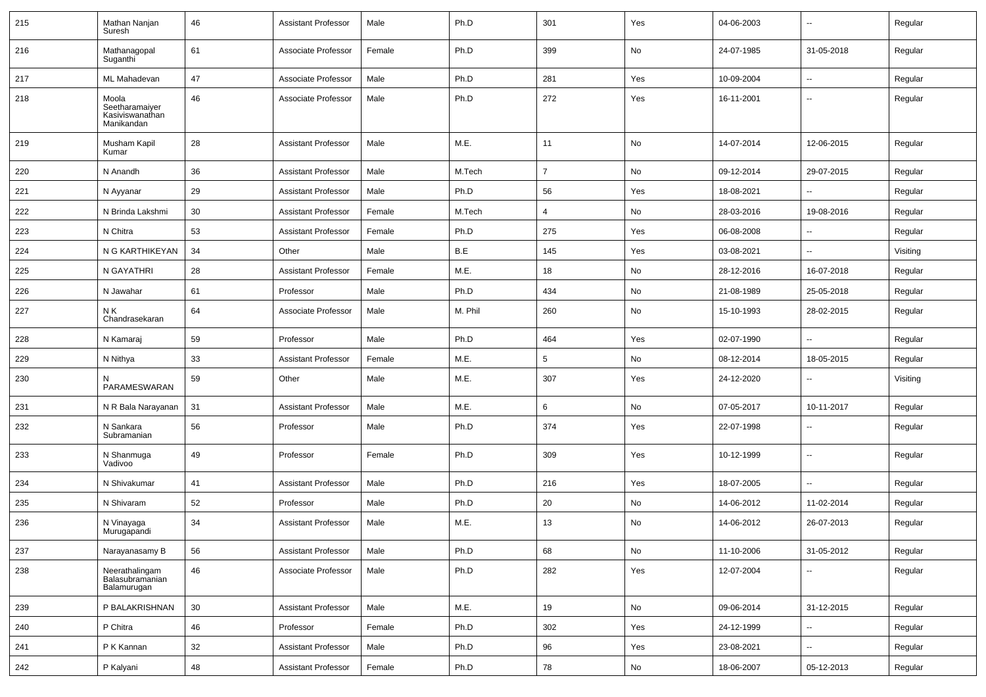| 215 | Mathan Nanjan<br>Suresh                                  | 46 | <b>Assistant Professor</b> | Male   | Ph.D    | 301            | Yes | 04-06-2003 | $\overline{\phantom{a}}$ | Regular  |
|-----|----------------------------------------------------------|----|----------------------------|--------|---------|----------------|-----|------------|--------------------------|----------|
| 216 | Mathanagopal<br>Suganthi                                 | 61 | Associate Professor        | Female | Ph.D    | 399            | No  | 24-07-1985 | 31-05-2018               | Regular  |
| 217 | <b>ML Mahadevan</b>                                      | 47 | Associate Professor        | Male   | Ph.D    | 281            | Yes | 10-09-2004 | ⊷.                       | Regular  |
| 218 | Moola<br>Seetharamaiyer<br>Kasiviswanathan<br>Manikandan | 46 | Associate Professor        | Male   | Ph.D    | 272            | Yes | 16-11-2001 | --                       | Regular  |
| 219 | Musham Kapil<br>Kumar                                    | 28 | <b>Assistant Professor</b> | Male   | M.E.    | 11             | No  | 14-07-2014 | 12-06-2015               | Regular  |
| 220 | N Anandh                                                 | 36 | <b>Assistant Professor</b> | Male   | M.Tech  | $\overline{7}$ | No  | 09-12-2014 | 29-07-2015               | Regular  |
| 221 | N Ayyanar                                                | 29 | <b>Assistant Professor</b> | Male   | Ph.D    | 56             | Yes | 18-08-2021 | --                       | Regular  |
| 222 | N Brinda Lakshmi                                         | 30 | <b>Assistant Professor</b> | Female | M.Tech  | 4              | No  | 28-03-2016 | 19-08-2016               | Regular  |
| 223 | N Chitra                                                 | 53 | <b>Assistant Professor</b> | Female | Ph.D    | 275            | Yes | 06-08-2008 | --                       | Regular  |
| 224 | N G KARTHIKEYAN                                          | 34 | Other                      | Male   | B.E     | 145            | Yes | 03-08-2021 | --                       | Visiting |
| 225 | N GAYATHRI                                               | 28 | <b>Assistant Professor</b> | Female | M.E.    | 18             | No  | 28-12-2016 | 16-07-2018               | Regular  |
| 226 | N Jawahar                                                | 61 | Professor                  | Male   | Ph.D    | 434            | No  | 21-08-1989 | 25-05-2018               | Regular  |
| 227 | N K<br>Chandrasekaran                                    | 64 | Associate Professor        | Male   | M. Phil | 260            | No  | 15-10-1993 | 28-02-2015               | Regular  |
| 228 | N Kamaraj                                                | 59 | Professor                  | Male   | Ph.D    | 464            | Yes | 02-07-1990 | -−                       | Regular  |
| 229 | N Nithya                                                 | 33 | Assistant Professor        | Female | M.E.    | 5              | No  | 08-12-2014 | 18-05-2015               | Regular  |
| 230 | PARAMESWARAN                                             | 59 | Other                      | Male   | M.E.    | 307            | Yes | 24-12-2020 | --                       | Visiting |
| 231 | N R Bala Narayanan                                       | 31 | <b>Assistant Professor</b> | Male   | M.E.    | 6              | No  | 07-05-2017 | 10-11-2017               | Regular  |
| 232 | N Sankara<br>Subramanian                                 | 56 | Professor                  | Male   | Ph.D    | 374            | Yes | 22-07-1998 |                          | Regular  |
| 233 | N Shanmuga<br>Vadivoo                                    | 49 | Professor                  | Female | Ph.D    | 309            | Yes | 10-12-1999 | --                       | Regular  |
| 234 | N Shivakumar                                             | 41 | <b>Assistant Professor</b> | Male   | Ph.D    | 216            | Yes | 18-07-2005 | --                       | Regular  |
| 235 | N Shivaram                                               | 52 | Professor                  | Male   | Ph.D    | 20             | No  | 14-06-2012 | 11-02-2014               | Regular  |
| 236 | N Vinayaga<br>Murugapandi                                | 34 | <b>Assistant Professor</b> | Male   | M.E.    | 13             | No  | 14-06-2012 | 26-07-2013               | Regular  |
| 237 | Narayanasamy B                                           | 56 | <b>Assistant Professor</b> | Male   | Ph.D    | 68             | No  | 11-10-2006 | 31-05-2012               | Regular  |
| 238 | Neerathalingam<br>Balasubramanian<br>Balamurugan         | 46 | Associate Professor        | Male   | Ph.D    | 282            | Yes | 12-07-2004 | $\overline{\phantom{a}}$ | Regular  |
| 239 | P BALAKRISHNAN                                           | 30 | <b>Assistant Professor</b> | Male   | M.E.    | 19             | No  | 09-06-2014 | 31-12-2015               | Regular  |
| 240 | P Chitra                                                 | 46 | Professor                  | Female | Ph.D    | 302            | Yes | 24-12-1999 | $\sim$                   | Regular  |
| 241 | P K Kannan                                               | 32 | <b>Assistant Professor</b> | Male   | Ph.D    | 96             | Yes | 23-08-2021 | н.                       | Regular  |
| 242 | P Kalyani                                                | 48 | <b>Assistant Professor</b> | Female | Ph.D    | 78             | No  | 18-06-2007 | 05-12-2013               | Regular  |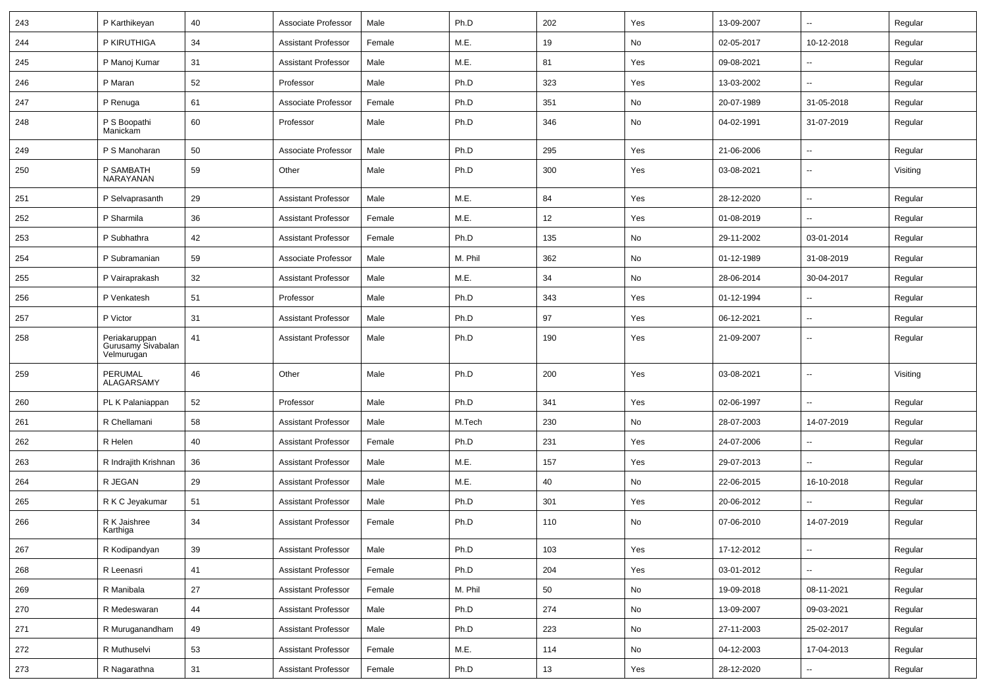| 243 | P Karthikeyan                                     | 40 | Associate Professor        | Male   | Ph.D    | 202 | Yes | 13-09-2007 | $\overline{\phantom{a}}$ | Regular  |
|-----|---------------------------------------------------|----|----------------------------|--------|---------|-----|-----|------------|--------------------------|----------|
| 244 | P KIRUTHIGA                                       | 34 | <b>Assistant Professor</b> | Female | M.E.    | 19  | No  | 02-05-2017 | 10-12-2018               | Regular  |
| 245 | P Manoj Kumar                                     | 31 | <b>Assistant Professor</b> | Male   | M.E.    | 81  | Yes | 09-08-2021 | $\overline{a}$           | Regular  |
| 246 | P Maran                                           | 52 | Professor                  | Male   | Ph.D    | 323 | Yes | 13-03-2002 | --                       | Regular  |
| 247 | P Renuga                                          | 61 | Associate Professor        | Female | Ph.D    | 351 | No  | 20-07-1989 | 31-05-2018               | Regular  |
| 248 | P S Boopathi<br>Manickam                          | 60 | Professor                  | Male   | Ph.D    | 346 | No  | 04-02-1991 | 31-07-2019               | Regular  |
| 249 | P S Manoharan                                     | 50 | Associate Professor        | Male   | Ph.D    | 295 | Yes | 21-06-2006 | $\overline{a}$           | Regular  |
| 250 | P SAMBATH<br>NARAYANAN                            | 59 | Other                      | Male   | Ph.D    | 300 | Yes | 03-08-2021 | $\overline{\phantom{a}}$ | Visiting |
| 251 | P Selvaprasanth                                   | 29 | <b>Assistant Professor</b> | Male   | M.E.    | 84  | Yes | 28-12-2020 | $\overline{\phantom{a}}$ | Regular  |
| 252 | P Sharmila                                        | 36 | <b>Assistant Professor</b> | Female | M.E.    | 12  | Yes | 01-08-2019 | -−                       | Regular  |
| 253 | P Subhathra                                       | 42 | <b>Assistant Professor</b> | Female | Ph.D    | 135 | No  | 29-11-2002 | 03-01-2014               | Regular  |
| 254 | P Subramanian                                     | 59 | Associate Professor        | Male   | M. Phil | 362 | No  | 01-12-1989 | 31-08-2019               | Regular  |
| 255 | P Vairaprakash                                    | 32 | <b>Assistant Professor</b> | Male   | M.E.    | 34  | No  | 28-06-2014 | 30-04-2017               | Regular  |
| 256 | P Venkatesh                                       | 51 | Professor                  | Male   | Ph.D    | 343 | Yes | 01-12-1994 | $\overline{\phantom{a}}$ | Regular  |
| 257 | P Victor                                          | 31 | <b>Assistant Professor</b> | Male   | Ph.D    | 97  | Yes | 06-12-2021 | $\overline{\phantom{a}}$ | Regular  |
| 258 | Periakaruppan<br>Gurusamy Sivabalan<br>Velmurugan | 41 | <b>Assistant Professor</b> | Male   | Ph.D    | 190 | Yes | 21-09-2007 | --                       | Regular  |
| 259 | PERUMAL<br>ALAGARSAMY                             | 46 | Other                      | Male   | Ph.D    | 200 | Yes | 03-08-2021 | $\overline{\phantom{a}}$ | Visiting |
| 260 | PL K Palaniappan                                  | 52 | Professor                  | Male   | Ph.D    | 341 | Yes | 02-06-1997 | $\overline{\phantom{a}}$ | Regular  |
| 261 | R Chellamani                                      | 58 | <b>Assistant Professor</b> | Male   | M.Tech  | 230 | No  | 28-07-2003 | 14-07-2019               | Regular  |
| 262 | R Helen                                           | 40 | <b>Assistant Professor</b> | Female | Ph.D    | 231 | Yes | 24-07-2006 | --                       | Regular  |
| 263 | R Indrajith Krishnan                              | 36 | <b>Assistant Professor</b> | Male   | M.E.    | 157 | Yes | 29-07-2013 | ц,                       | Regular  |
| 264 | R JEGAN                                           | 29 | <b>Assistant Professor</b> | Male   | M.E.    | 40  | No  | 22-06-2015 | 16-10-2018               | Regular  |
| 265 | R K C Jeyakumar                                   | 51 | <b>Assistant Professor</b> | Male   | Ph.D    | 301 | Yes | 20-06-2012 |                          | Regular  |
| 266 | R K Jaishree<br>Karthiga                          | 34 | <b>Assistant Professor</b> | Female | Ph.D    | 110 | No  | 07-06-2010 | 14-07-2019               | Regular  |
| 267 | R Kodipandyan                                     | 39 | <b>Assistant Professor</b> | Male   | Ph.D    | 103 | Yes | 17-12-2012 | $\sim$                   | Regular  |
| 268 | R Leenasri                                        | 41 | <b>Assistant Professor</b> | Female | Ph.D    | 204 | Yes | 03-01-2012 | $\sim$                   | Regular  |
| 269 | R Manibala                                        | 27 | <b>Assistant Professor</b> | Female | M. Phil | 50  | No  | 19-09-2018 | 08-11-2021               | Regular  |
| 270 | R Medeswaran                                      | 44 | <b>Assistant Professor</b> | Male   | Ph.D    | 274 | No  | 13-09-2007 | 09-03-2021               | Regular  |
| 271 | R Muruganandham                                   | 49 | Assistant Professor        | Male   | Ph.D    | 223 | No  | 27-11-2003 | 25-02-2017               | Regular  |
| 272 | R Muthuselvi                                      | 53 | <b>Assistant Professor</b> | Female | M.E.    | 114 | No  | 04-12-2003 | 17-04-2013               | Regular  |
| 273 | R Nagarathna                                      | 31 | <b>Assistant Professor</b> | Female | Ph.D    | 13  | Yes | 28-12-2020 | Щ,                       | Regular  |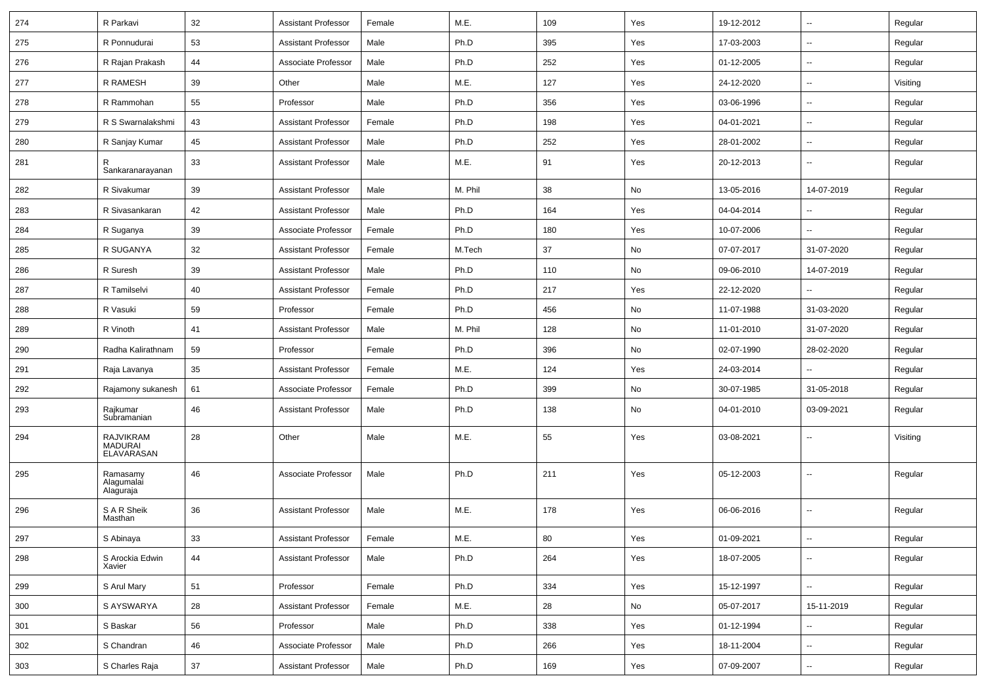| 274 | R Parkavi                                 | 32 | <b>Assistant Professor</b> | Female | M.E.    | 109 | Yes | 19-12-2012 | $\sim$                   | Regular  |
|-----|-------------------------------------------|----|----------------------------|--------|---------|-----|-----|------------|--------------------------|----------|
| 275 | R Ponnudurai                              | 53 | <b>Assistant Professor</b> | Male   | Ph.D    | 395 | Yes | 17-03-2003 | ⊷.                       | Regular  |
| 276 | R Rajan Prakash                           | 44 | Associate Professor        | Male   | Ph.D    | 252 | Yes | 01-12-2005 | $\mathbf{u}$             | Regular  |
| 277 | R RAMESH                                  | 39 | Other                      | Male   | M.E.    | 127 | Yes | 24-12-2020 | $\overline{\phantom{a}}$ | Visiting |
| 278 | R Rammohan                                | 55 | Professor                  | Male   | Ph.D    | 356 | Yes | 03-06-1996 | $\overline{a}$           | Regular  |
| 279 | R S Swarnalakshmi                         | 43 | <b>Assistant Professor</b> | Female | Ph.D    | 198 | Yes | 04-01-2021 | Ξ.                       | Regular  |
| 280 | R Sanjay Kumar                            | 45 | <b>Assistant Professor</b> | Male   | Ph.D    | 252 | Yes | 28-01-2002 | $\sim$                   | Regular  |
| 281 | R<br>Sankaranarayanan                     | 33 | <b>Assistant Professor</b> | Male   | M.E.    | 91  | Yes | 20-12-2013 | ⊷.                       | Regular  |
| 282 | R Sivakumar                               | 39 | <b>Assistant Professor</b> | Male   | M. Phil | 38  | No  | 13-05-2016 | 14-07-2019               | Regular  |
| 283 | R Sivasankaran                            | 42 | <b>Assistant Professor</b> | Male   | Ph.D    | 164 | Yes | 04-04-2014 | $\sim$                   | Regular  |
| 284 | R Suganya                                 | 39 | Associate Professor        | Female | Ph.D    | 180 | Yes | 10-07-2006 |                          | Regular  |
| 285 | R SUGANYA                                 | 32 | <b>Assistant Professor</b> | Female | M.Tech  | 37  | No  | 07-07-2017 | 31-07-2020               | Regular  |
| 286 | R Suresh                                  | 39 | <b>Assistant Professor</b> | Male   | Ph.D    | 110 | No  | 09-06-2010 | 14-07-2019               | Regular  |
| 287 | R Tamilselvi                              | 40 | <b>Assistant Professor</b> | Female | Ph.D    | 217 | Yes | 22-12-2020 |                          | Regular  |
| 288 | R Vasuki                                  | 59 | Professor                  | Female | Ph.D    | 456 | No  | 11-07-1988 | 31-03-2020               | Regular  |
| 289 | R Vinoth                                  | 41 | <b>Assistant Professor</b> | Male   | M. Phil | 128 | No  | 11-01-2010 | 31-07-2020               | Regular  |
| 290 | Radha Kalirathnam                         | 59 | Professor                  | Female | Ph.D    | 396 | No  | 02-07-1990 | 28-02-2020               | Regular  |
| 291 | Raja Lavanya                              | 35 | <b>Assistant Professor</b> | Female | M.E.    | 124 | Yes | 24-03-2014 |                          | Regular  |
| 292 | Rajamony sukanesh                         | 61 | Associate Professor        | Female | Ph.D    | 399 | No  | 30-07-1985 | 31-05-2018               | Regular  |
| 293 | Rajkumar<br>Subramanian                   | 46 | <b>Assistant Professor</b> | Male   | Ph.D    | 138 | No  | 04-01-2010 | 03-09-2021               | Regular  |
| 294 | <b>RAJVIKRAM</b><br>MADURAI<br>ELAVARASAN | 28 | Other                      | Male   | M.E.    | 55  | Yes | 03-08-2021 | $\overline{\phantom{a}}$ | Visiting |
| 295 | Ramasamy<br>Alagumalai<br>Alaguraja       | 46 | Associate Professor        | Male   | Ph.D    | 211 | Yes | 05-12-2003 | --                       | Regular  |
| 296 | S A R Sheik<br>Masthan                    | 36 | <b>Assistant Professor</b> | Male   | M.E.    | 178 | Yes | 06-06-2016 |                          | Regular  |
| 297 | S Abinaya                                 | 33 | Assistant Professor        | Female | M.E.    | 80  | Yes | 01-09-2021 |                          | Regular  |
| 298 | S Arockia Edwin<br>Xavier                 | 44 | <b>Assistant Professor</b> | Male   | Ph.D    | 264 | Yes | 18-07-2005 | $\overline{\phantom{a}}$ | Regular  |
| 299 | S Arul Mary                               | 51 | Professor                  | Female | Ph.D    | 334 | Yes | 15-12-1997 | $\sim$                   | Regular  |
| 300 | S AYSWARYA                                | 28 | <b>Assistant Professor</b> | Female | M.E.    | 28  | No  | 05-07-2017 | 15-11-2019               | Regular  |
| 301 | S Baskar                                  | 56 | Professor                  | Male   | Ph.D    | 338 | Yes | 01-12-1994 | $\sim$                   | Regular  |
| 302 | S Chandran                                | 46 | Associate Professor        | Male   | Ph.D    | 266 | Yes | 18-11-2004 | $\sim$                   | Regular  |
| 303 | S Charles Raja                            | 37 | <b>Assistant Professor</b> | Male   | Ph.D    | 169 | Yes | 07-09-2007 | $\overline{\phantom{a}}$ | Regular  |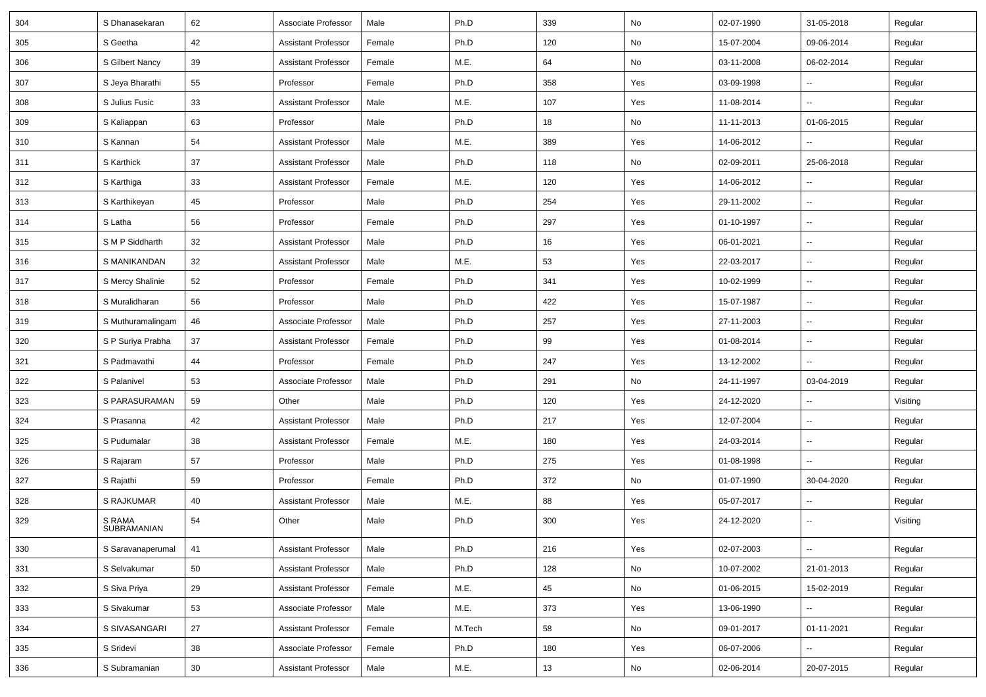| 304 | S Dhanasekaran        | 62 | Associate Professor        | Male   | Ph.D   | 339 | No  | 02-07-1990 | 31-05-2018               | Regular  |
|-----|-----------------------|----|----------------------------|--------|--------|-----|-----|------------|--------------------------|----------|
| 305 | S Geetha              | 42 | <b>Assistant Professor</b> | Female | Ph.D   | 120 | No  | 15-07-2004 | 09-06-2014               | Regular  |
| 306 | S Gilbert Nancy       | 39 | <b>Assistant Professor</b> | Female | M.E.   | 64  | No  | 03-11-2008 | 06-02-2014               | Regular  |
| 307 | S Jeva Bharathi       | 55 | Professor                  | Female | Ph.D   | 358 | Yes | 03-09-1998 |                          | Regular  |
| 308 | S Julius Fusic        | 33 | <b>Assistant Professor</b> | Male   | M.E.   | 107 | Yes | 11-08-2014 | -−                       | Regular  |
| 309 | S Kaliappan           | 63 | Professor                  | Male   | Ph.D   | 18  | No  | 11-11-2013 | 01-06-2015               | Regular  |
| 310 | S Kannan              | 54 | <b>Assistant Professor</b> | Male   | M.E.   | 389 | Yes | 14-06-2012 | н.                       | Regular  |
| 311 | S Karthick            | 37 | <b>Assistant Professor</b> | Male   | Ph.D   | 118 | No  | 02-09-2011 | 25-06-2018               | Regular  |
| 312 | S Karthiga            | 33 | <b>Assistant Professor</b> | Female | M.E.   | 120 | Yes | 14-06-2012 | $\overline{\phantom{a}}$ | Regular  |
| 313 | S Karthikeyan         | 45 | Professor                  | Male   | Ph.D   | 254 | Yes | 29-11-2002 | --                       | Regular  |
| 314 | S Latha               | 56 | Professor                  | Female | Ph.D   | 297 | Yes | 01-10-1997 | $\overline{\phantom{a}}$ | Regular  |
| 315 | S M P Siddharth       | 32 | <b>Assistant Professor</b> | Male   | Ph.D   | 16  | Yes | 06-01-2021 | Ξ.                       | Regular  |
| 316 | S MANIKANDAN          | 32 | <b>Assistant Professor</b> | Male   | M.E.   | 53  | Yes | 22-03-2017 | Ξ.                       | Regular  |
| 317 | S Mercy Shalinie      | 52 | Professor                  | Female | Ph.D   | 341 | Yes | 10-02-1999 | -−                       | Regular  |
| 318 | S Muralidharan        | 56 | Professor                  | Male   | Ph.D   | 422 | Yes | 15-07-1987 | $\overline{\phantom{a}}$ | Regular  |
| 319 | S Muthuramalingam     | 46 | Associate Professor        | Male   | Ph.D   | 257 | Yes | 27-11-2003 | $\overline{\phantom{a}}$ | Regular  |
| 320 | S P Suriya Prabha     | 37 | <b>Assistant Professor</b> | Female | Ph.D   | 99  | Yes | 01-08-2014 | $\overline{\phantom{a}}$ | Regular  |
| 321 | S Padmavathi          | 44 | Professor                  | Female | Ph.D   | 247 | Yes | 13-12-2002 | Ξ.                       | Regular  |
| 322 | S Palanivel           | 53 | Associate Professor        | Male   | Ph.D   | 291 | No  | 24-11-1997 | 03-04-2019               | Regular  |
| 323 | S PARASURAMAN         | 59 | Other                      | Male   | Ph.D   | 120 | Yes | 24-12-2020 | --                       | Visiting |
| 324 | S Prasanna            | 42 | <b>Assistant Professor</b> | Male   | Ph.D   | 217 | Yes | 12-07-2004 | Ξ.                       | Regular  |
| 325 | S Pudumalar           | 38 | <b>Assistant Professor</b> | Female | M.E.   | 180 | Yes | 24-03-2014 | --                       | Regular  |
| 326 | S Rajaram             | 57 | Professor                  | Male   | Ph.D   | 275 | Yes | 01-08-1998 | --                       | Regular  |
| 327 | S Rajathi             | 59 | Professor                  | Female | Ph.D   | 372 | No  | 01-07-1990 | 30-04-2020               | Regular  |
| 328 | S RAJKUMAR            | 40 | <b>Assistant Professor</b> | Male   | M.E.   | 88  | Yes | 05-07-2017 | $\overline{\phantom{a}}$ | Regular  |
| 329 | S RAMA<br>SUBRAMANIAN | 54 | Other                      | Male   | Ph.D   | 300 | Yes | 24-12-2020 | --                       | Visiting |
| 330 | S Saravanaperumal     | 41 | <b>Assistant Professor</b> | Male   | Ph.D   | 216 | Yes | 02-07-2003 | $\sim$                   | Regular  |
| 331 | S Selvakumar          | 50 | <b>Assistant Professor</b> | Male   | Ph.D   | 128 | No  | 10-07-2002 | 21-01-2013               | Regular  |
| 332 | S Siva Priya          | 29 | <b>Assistant Professor</b> | Female | M.E.   | 45  | No  | 01-06-2015 | 15-02-2019               | Regular  |
| 333 | S Sivakumar           | 53 | Associate Professor        | Male   | M.E.   | 373 | Yes | 13-06-1990 |                          | Regular  |
| 334 | S SIVASANGARI         | 27 | <b>Assistant Professor</b> | Female | M.Tech | 58  | No  | 09-01-2017 | 01-11-2021               | Regular  |
| 335 | S Sridevi             | 38 | Associate Professor        | Female | Ph.D   | 180 | Yes | 06-07-2006 | Ξ.                       | Regular  |
| 336 | S Subramanian         | 30 | <b>Assistant Professor</b> | Male   | M.E.   | 13  | No  | 02-06-2014 | 20-07-2015               | Regular  |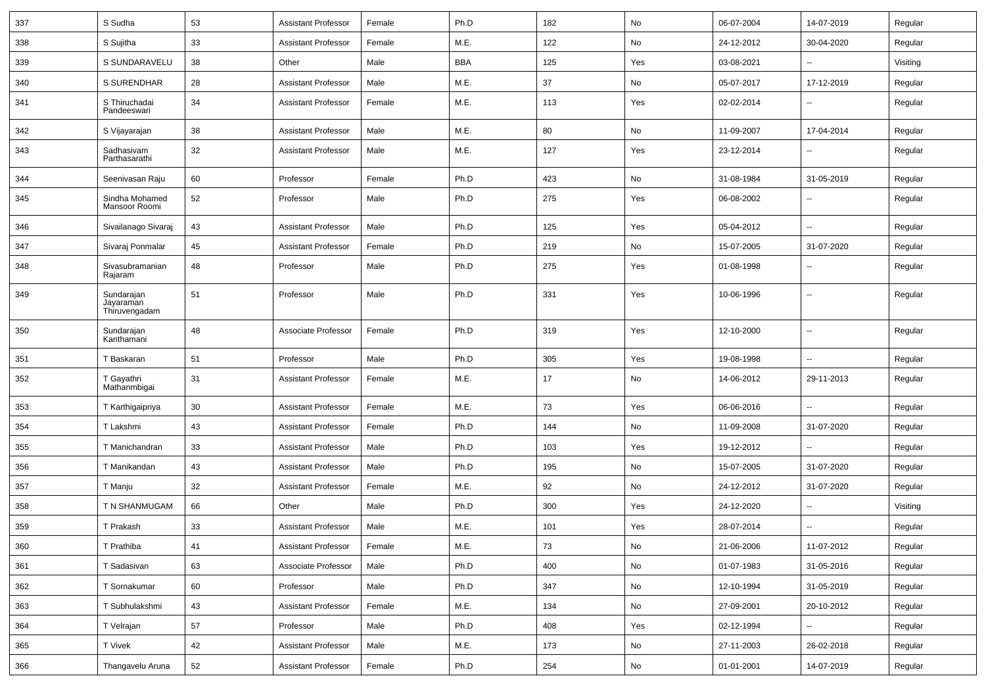| 337 | S Sudha                                  | 53 | <b>Assistant Professor</b> | Female | Ph.D       | 182 | No            | 06-07-2004 | 14-07-2019               | Regular  |
|-----|------------------------------------------|----|----------------------------|--------|------------|-----|---------------|------------|--------------------------|----------|
| 338 | S Sujitha                                | 33 | <b>Assistant Professor</b> | Female | M.E.       | 122 | No            | 24-12-2012 | 30-04-2020               | Regular  |
| 339 | S SUNDARAVELU                            | 38 | Other                      | Male   | <b>BBA</b> | 125 | Yes           | 03-08-2021 |                          | Visiting |
| 340 | <b>S SURENDHAR</b>                       | 28 | <b>Assistant Professor</b> | Male   | M.E.       | 37  | No            | 05-07-2017 | 17-12-2019               | Regular  |
| 341 | S Thiruchadai<br>Pandeeswari             | 34 | <b>Assistant Professor</b> | Female | M.E.       | 113 | Yes           | 02-02-2014 |                          | Regular  |
| 342 | S Vijayarajan                            | 38 | <b>Assistant Professor</b> | Male   | M.E.       | 80  | No            | 11-09-2007 | 17-04-2014               | Regular  |
| 343 | Sadhasivam<br>Parthasarathi              | 32 | <b>Assistant Professor</b> | Male   | M.E.       | 127 | Yes           | 23-12-2014 |                          | Regular  |
| 344 | Seenivasan Raju                          | 60 | Professor                  | Female | Ph.D       | 423 | No            | 31-08-1984 | 31-05-2019               | Regular  |
| 345 | Sindha Mohamed<br>Mansoor Roomi          | 52 | Professor                  | Male   | Ph.D       | 275 | Yes           | 06-08-2002 | $\overline{\phantom{a}}$ | Regular  |
| 346 | Sivailanago Sivaraj                      | 43 | <b>Assistant Professor</b> | Male   | Ph.D       | 125 | Yes           | 05-04-2012 | Ξ.                       | Regular  |
| 347 | Sivaraj Ponmalar                         | 45 | <b>Assistant Professor</b> | Female | Ph.D       | 219 | No            | 15-07-2005 | 31-07-2020               | Regular  |
| 348 | Sivasubramanian<br>Rajaram               | 48 | Professor                  | Male   | Ph.D       | 275 | Yes           | 01-08-1998 | $\overline{\phantom{a}}$ | Regular  |
| 349 | Sundarajan<br>Jayaraman<br>Thiruvengadam | 51 | Professor                  | Male   | Ph.D       | 331 | Yes           | 10-06-1996 | --                       | Regular  |
| 350 | Sundarajan<br>Kanthamani                 | 48 | Associate Professor        | Female | Ph.D       | 319 | Yes           | 12-10-2000 | $\overline{\phantom{a}}$ | Regular  |
| 351 | T Baskaran                               | 51 | Professor                  | Male   | Ph.D       | 305 | Yes           | 19-08-1998 | $\overline{\phantom{a}}$ | Regular  |
| 352 | T Gayathri<br>Mathanmbigai               | 31 | <b>Assistant Professor</b> | Female | M.E.       | 17  | No            | 14-06-2012 | 29-11-2013               | Regular  |
| 353 | T Karthigaipriya                         | 30 | <b>Assistant Professor</b> | Female | M.E.       | 73  | Yes           | 06-06-2016 | --                       | Regular  |
| 354 | T Lakshmi                                | 43 | <b>Assistant Professor</b> | Female | Ph.D       | 144 | No            | 11-09-2008 | 31-07-2020               | Regular  |
| 355 | T Manichandran                           | 33 | <b>Assistant Professor</b> | Male   | Ph.D       | 103 | Yes           | 19-12-2012 |                          | Regular  |
| 356 | T Manikandan                             | 43 | <b>Assistant Professor</b> | Male   | Ph.D       | 195 | No            | 15-07-2005 | 31-07-2020               | Regular  |
| 357 | T Manju                                  | 32 | <b>Assistant Professor</b> | Female | M.E.       | 92  | No            | 24-12-2012 | 31-07-2020               | Regular  |
| 358 | T N SHANMUGAM                            | 66 | Other                      | Male   | Ph.D       | 300 | Yes           | 24-12-2020 | $\sim$                   | Visiting |
| 359 | T Prakash                                | 33 | <b>Assistant Professor</b> | Male   | M.E.       | 101 | Yes           | 28-07-2014 |                          | Regular  |
| 360 | T Prathiba                               | 41 | <b>Assistant Professor</b> | Female | M.E.       | 73  | $\mathsf{No}$ | 21-06-2006 | 11-07-2012               | Regular  |
| 361 | T Sadasivan                              | 63 | Associate Professor        | Male   | Ph.D       | 400 | No            | 01-07-1983 | 31-05-2016               | Regular  |
| 362 | T Sornakumar                             | 60 | Professor                  | Male   | Ph.D       | 347 | No            | 12-10-1994 | 31-05-2019               | Regular  |
| 363 | T Subhulakshmi                           | 43 | <b>Assistant Professor</b> | Female | M.E.       | 134 | $\mathsf{No}$ | 27-09-2001 | 20-10-2012               | Regular  |
| 364 | T Velrajan                               | 57 | Professor                  | Male   | Ph.D       | 408 | Yes           | 02-12-1994 | $\sim$                   | Regular  |
| 365 | T Vivek                                  | 42 | <b>Assistant Professor</b> | Male   | M.E.       | 173 | No            | 27-11-2003 | 26-02-2018               | Regular  |
| 366 | Thangavelu Aruna                         | 52 | <b>Assistant Professor</b> | Female | Ph.D       | 254 | $\mathsf{No}$ | 01-01-2001 | 14-07-2019               | Regular  |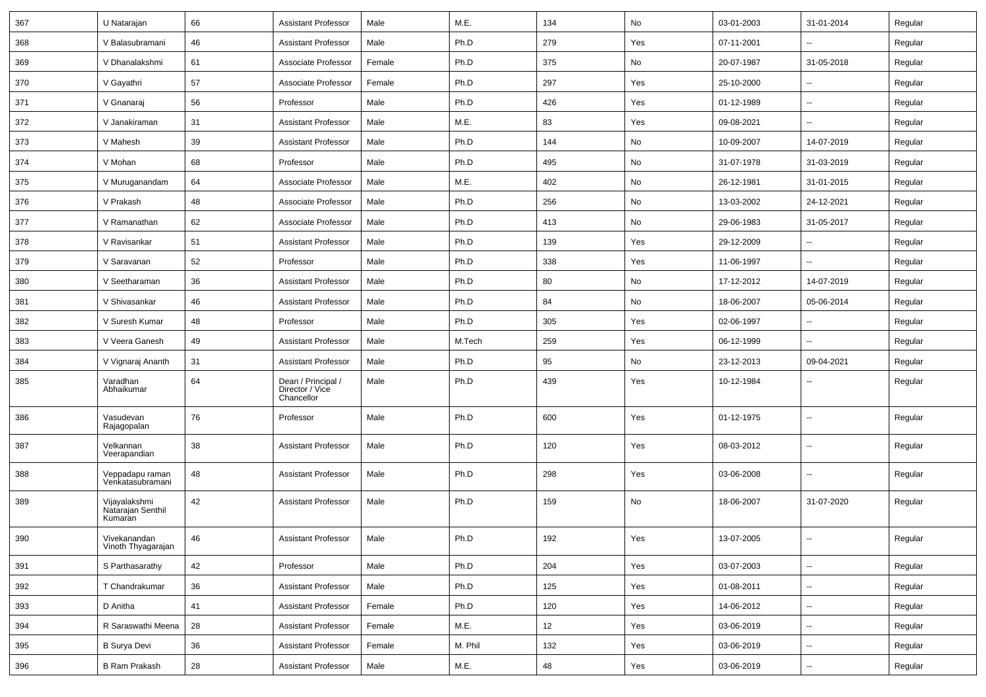| 367 | U Natarajan                                   | 66 | <b>Assistant Professor</b>                          | Male   | M.E.    | 134 | No  | 03-01-2003 | 31-01-2014               | Regular |
|-----|-----------------------------------------------|----|-----------------------------------------------------|--------|---------|-----|-----|------------|--------------------------|---------|
| 368 | V Balasubramani                               | 46 | <b>Assistant Professor</b>                          | Male   | Ph.D    | 279 | Yes | 07-11-2001 | --                       | Regular |
| 369 | V Dhanalakshmi                                | 61 | Associate Professor                                 | Female | Ph.D    | 375 | No  | 20-07-1987 | 31-05-2018               | Regular |
| 370 | V Gayathri                                    | 57 | Associate Professor                                 | Female | Ph.D    | 297 | Yes | 25-10-2000 |                          | Regular |
| 371 | V Gnanaraj                                    | 56 | Professor                                           | Male   | Ph.D    | 426 | Yes | 01-12-1989 | --                       | Regular |
| 372 | V Janakiraman                                 | 31 | <b>Assistant Professor</b>                          | Male   | M.E.    | 83  | Yes | 09-08-2021 | Ш,                       | Regular |
| 373 | V Mahesh                                      | 39 | <b>Assistant Professor</b>                          | Male   | Ph.D    | 144 | No  | 10-09-2007 | 14-07-2019               | Regular |
| 374 | V Mohan                                       | 68 | Professor                                           | Male   | Ph.D    | 495 | No  | 31-07-1978 | 31-03-2019               | Regular |
| 375 | V Muruganandam                                | 64 | Associate Professor                                 | Male   | M.E.    | 402 | No  | 26-12-1981 | 31-01-2015               | Regular |
| 376 | V Prakash                                     | 48 | Associate Professor                                 | Male   | Ph.D    | 256 | No  | 13-03-2002 | 24-12-2021               | Regular |
| 377 | V Ramanathan                                  | 62 | Associate Professor                                 | Male   | Ph.D    | 413 | No  | 29-06-1983 | 31-05-2017               | Regular |
| 378 | V Ravisankar                                  | 51 | <b>Assistant Professor</b>                          | Male   | Ph.D    | 139 | Yes | 29-12-2009 | Ш,                       | Regular |
| 379 | V Saravanan                                   | 52 | Professor                                           | Male   | Ph.D    | 338 | Yes | 11-06-1997 | $\overline{\phantom{a}}$ | Regular |
| 380 | V Seetharaman                                 | 36 | <b>Assistant Professor</b>                          | Male   | Ph.D    | 80  | No  | 17-12-2012 | 14-07-2019               | Regular |
| 381 | V Shivasankar                                 | 46 | <b>Assistant Professor</b>                          | Male   | Ph.D    | 84  | No  | 18-06-2007 | 05-06-2014               | Regular |
| 382 | V Suresh Kumar                                | 48 | Professor                                           | Male   | Ph.D    | 305 | Yes | 02-06-1997 | --                       | Regular |
| 383 | V Veera Ganesh                                | 49 | <b>Assistant Professor</b>                          | Male   | M.Tech  | 259 | Yes | 06-12-1999 |                          | Regular |
| 384 | V Vignaraj Ananth                             | 31 | <b>Assistant Professor</b>                          | Male   | Ph.D    | 95  | No  | 23-12-2013 | 09-04-2021               | Regular |
| 385 | Varadhan<br>Abhaikumar                        | 64 | Dean / Principal /<br>Director / Vice<br>Chancellor | Male   | Ph.D    | 439 | Yes | 10-12-1984 | $\overline{a}$           | Regular |
| 386 | Vasudevan<br>Rajagopalan                      | 76 | Professor                                           | Male   | Ph.D    | 600 | Yes | 01-12-1975 | $\overline{\phantom{a}}$ | Regular |
| 387 | Velkannan<br>Veerapandian                     | 38 | <b>Assistant Professor</b>                          | Male   | Ph.D    | 120 | Yes | 08-03-2012 | $\overline{\phantom{a}}$ | Regular |
| 388 | Veppadapu raman<br>Venkatasubramani           | 48 | <b>Assistant Professor</b>                          | Male   | Ph.D    | 298 | Yes | 03-06-2008 | Ш,                       | Regular |
| 389 | Vijayalakshmi<br>Natarajan Senthil<br>Kumaran | 42 | <b>Assistant Professor</b>                          | Male   | Ph.D    | 159 | No  | 18-06-2007 | 31-07-2020               | Regular |
| 390 | Vivekanandan<br>Vinoth Thyagarajan            | 46 | Assistant Professor                                 | Male   | Ph.D    | 192 | Yes | 13-07-2005 |                          | Regular |
| 391 | S Parthasarathy                               | 42 | Professor                                           | Male   | Ph.D    | 204 | Yes | 03-07-2003 | $\sim$                   | Regular |
| 392 | T Chandrakumar                                | 36 | <b>Assistant Professor</b>                          | Male   | Ph.D    | 125 | Yes | 01-08-2011 | $\sim$                   | Regular |
| 393 | D Anitha                                      | 41 | <b>Assistant Professor</b>                          | Female | Ph.D    | 120 | Yes | 14-06-2012 | $\sim$                   | Regular |
| 394 | R Saraswathi Meena                            | 28 | <b>Assistant Professor</b>                          | Female | M.E.    | 12  | Yes | 03-06-2019 | $\overline{\phantom{a}}$ | Regular |
| 395 | <b>B Surya Devi</b>                           | 36 | <b>Assistant Professor</b>                          | Female | M. Phil | 132 | Yes | 03-06-2019 | $\overline{\phantom{a}}$ | Regular |
| 396 | <b>B Ram Prakash</b>                          | 28 | <b>Assistant Professor</b>                          | Male   | M.E.    | 48  | Yes | 03-06-2019 | ₩,                       | Regular |